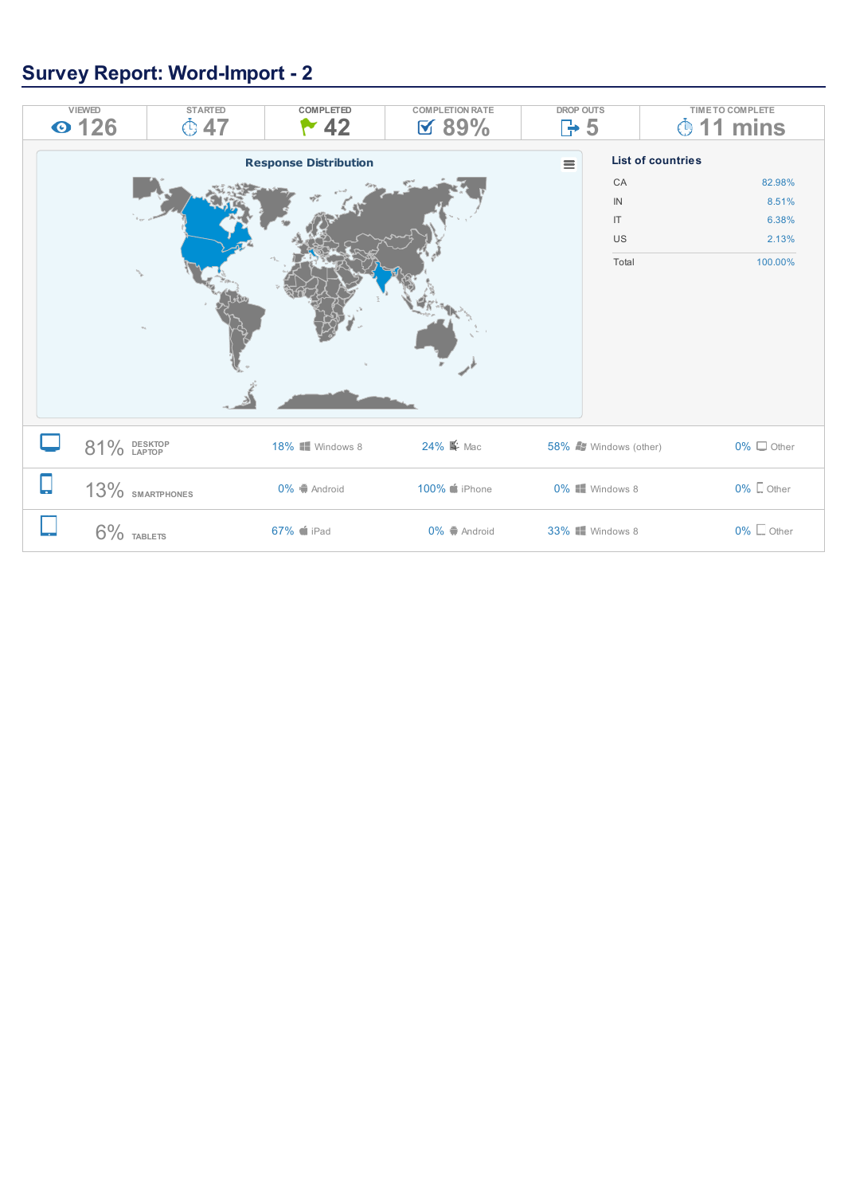## **Survey Report: Word-Import - 2**

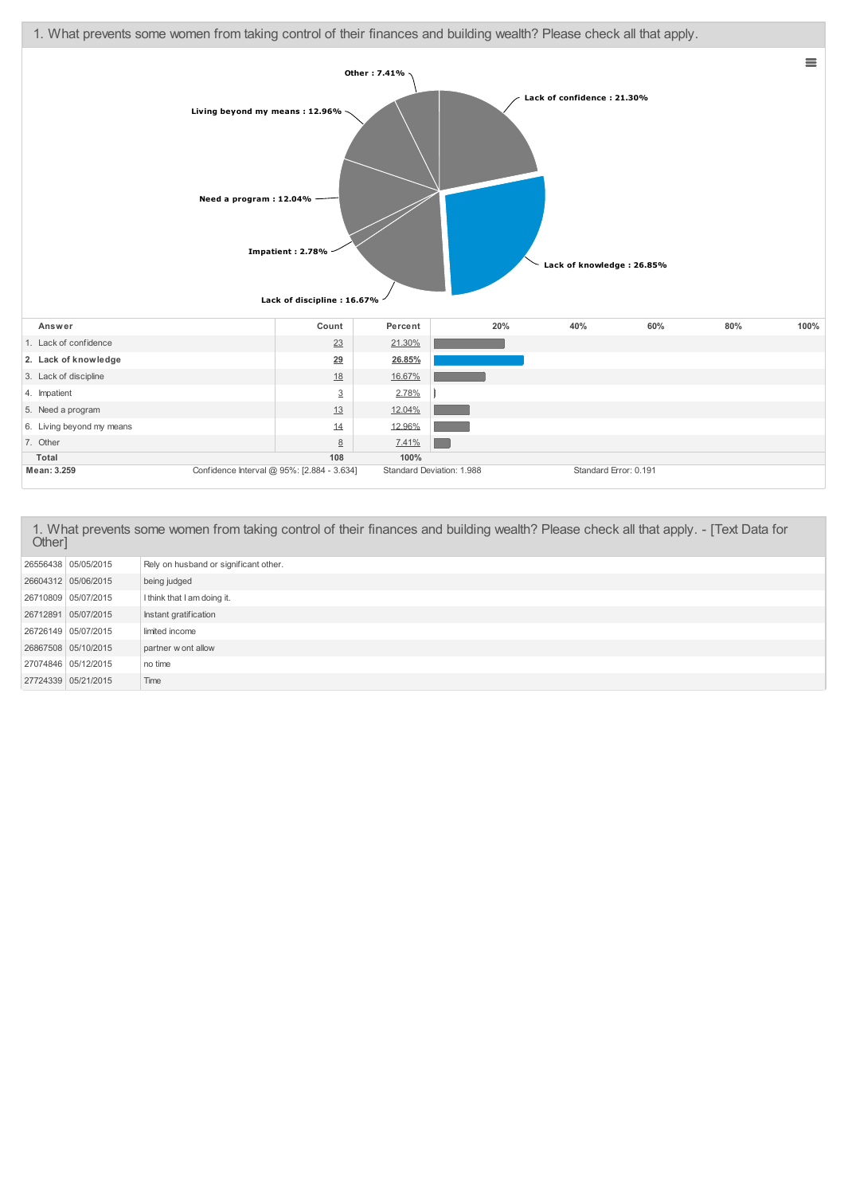

1. What prevents some women from taking control of their finances and building wealth? Please check all that apply. - [Text Data for Other] 26556438 05/05/2015 Rely on husband or significant other. 26604312 05/06/2015 being judged 26710809 05/07/2015 I think that I am doing it. 26712891 05/07/2015 Instant gratification 26726149 05/07/2015 limited income <sup>26867508</sup> 05/10/2015 partner w ont allow 27074846 05/12/2015 no time 27724339 05/21/2015 Time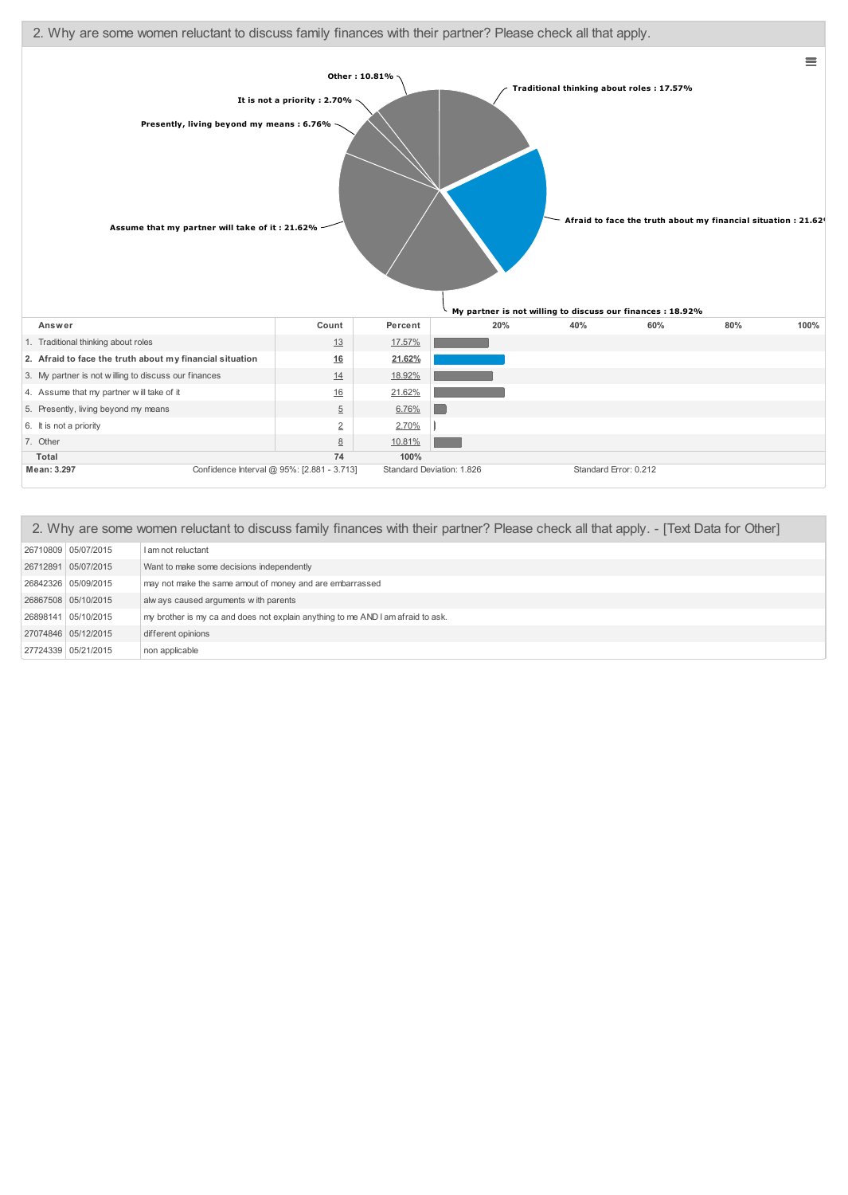

| 2. Why are some women reluctant to discuss family finances with their partner? Please check all that apply. - [Text Data for Other] |                                                                                 |  |  |  |  |  |  |
|-------------------------------------------------------------------------------------------------------------------------------------|---------------------------------------------------------------------------------|--|--|--|--|--|--|
| 26710809 05/07/2015                                                                                                                 | I am not reluctant                                                              |  |  |  |  |  |  |
| 26712891 05/07/2015                                                                                                                 | Want to make some decisions independently                                       |  |  |  |  |  |  |
| 26842326 05/09/2015                                                                                                                 | may not make the same amout of money and are embarrassed                        |  |  |  |  |  |  |
| 26867508 05/10/2015                                                                                                                 | alw ays caused arguments with parents                                           |  |  |  |  |  |  |
| 26898141 05/10/2015                                                                                                                 | my brother is my ca and does not explain anything to me AND I am afraid to ask. |  |  |  |  |  |  |
| 27074846 05/12/2015                                                                                                                 | different opinions                                                              |  |  |  |  |  |  |
| 27724339 05/21/2015                                                                                                                 | non applicable                                                                  |  |  |  |  |  |  |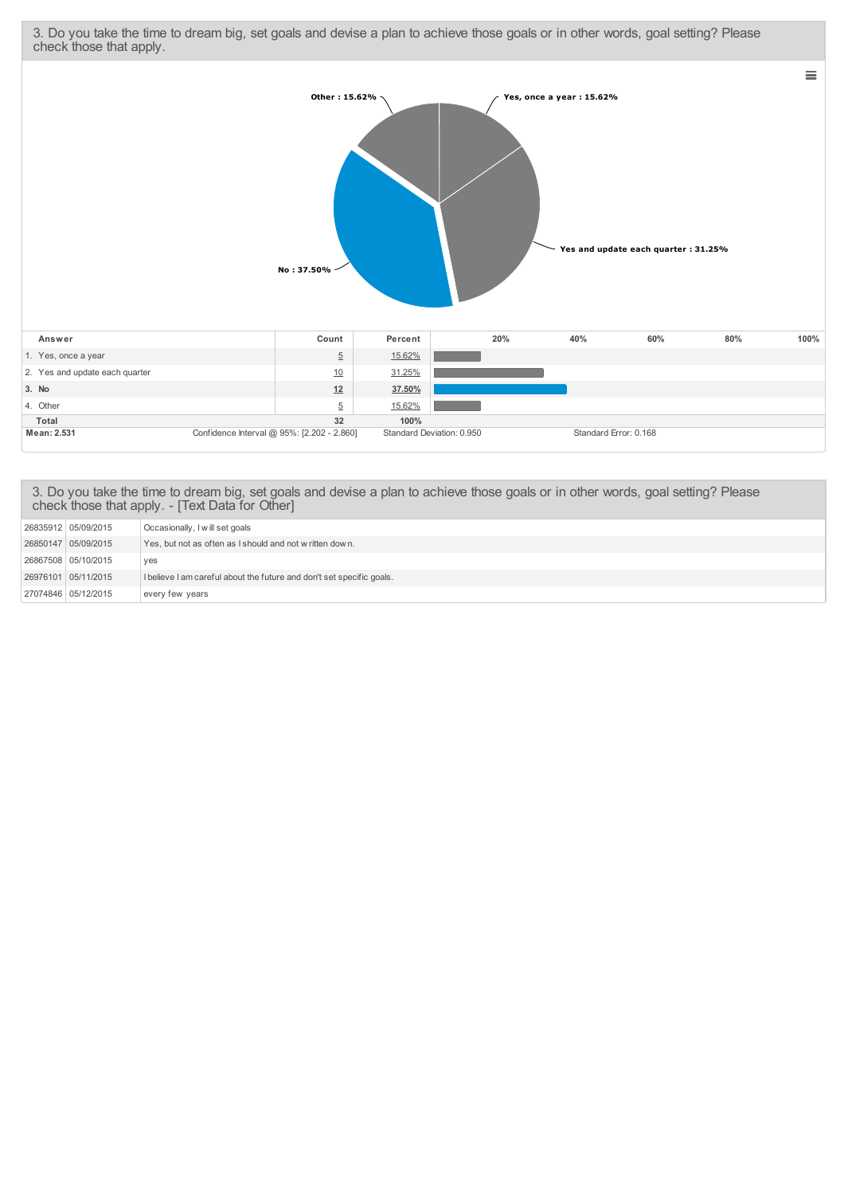3. Do you take the time to dream big, set goals and devise a plan to achieve those goals or in other words, goal setting? Please check those that apply.



## 3. Do you take the time to dream big, set goals and devise a plan to achieve those goals or in other words, goal setting? Please check those that apply. - [Text Data for Other]

| 26835912   05/09/2015 | Occasionally, I will set goals                                        |
|-----------------------|-----------------------------------------------------------------------|
|                       |                                                                       |
| 26850147 05/09/2015   | Yes, but not as often as I should and not written down.               |
|                       |                                                                       |
| 26867508   05/10/2015 | ves                                                                   |
|                       |                                                                       |
| 26976101 05/11/2015   | I believe I am careful about the future and don't set specific goals. |
|                       |                                                                       |
| 27074846 05/12/2015   | every few years                                                       |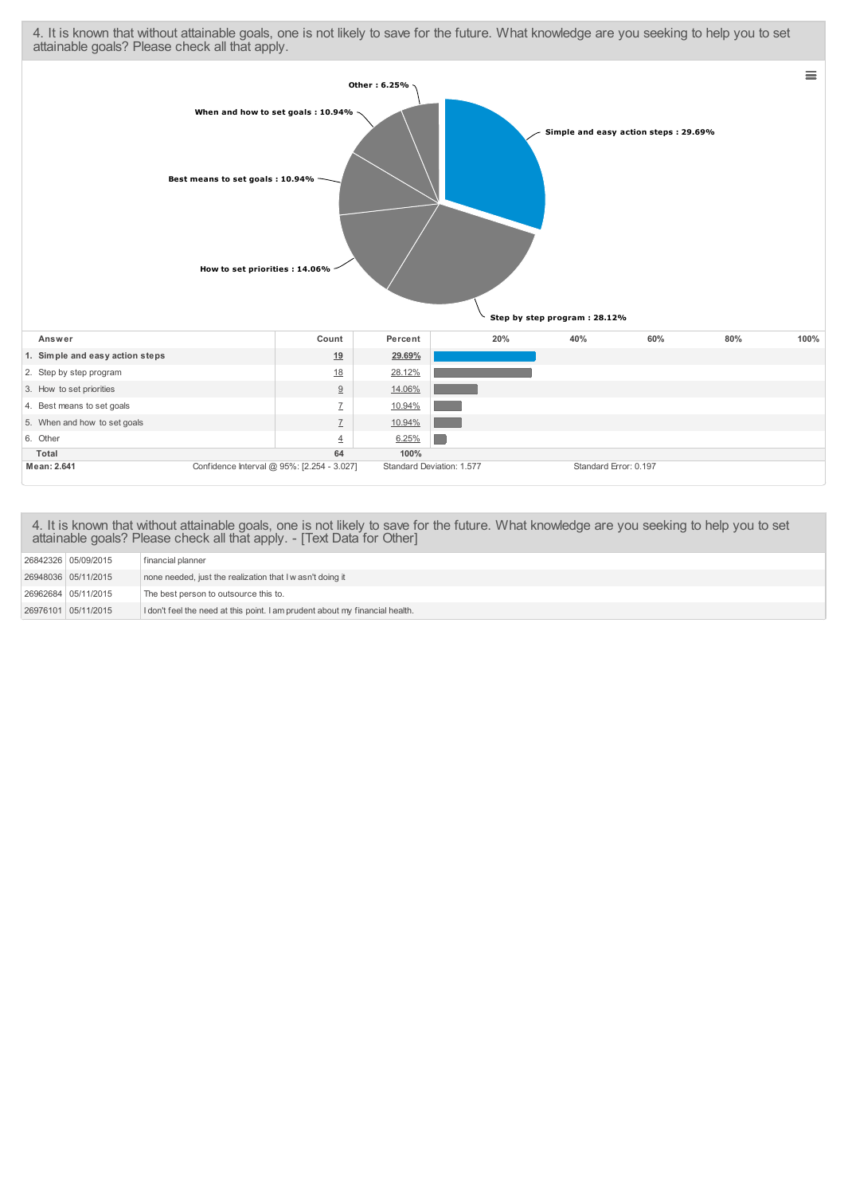4. It is known that without attainable goals, one is not likely to save for the future. What knowledge are you seeking to help you to set attainable goals? Please check all that apply.



4. It is known that without attainable goals, one is not likely to save for the future. What knowledge are you seeking to help you to set attainable goals? Please check all that apply. - [Text Data for Other]

| 26842326 05/09/2015   | financial planner                                                            |
|-----------------------|------------------------------------------------------------------------------|
| 26948036 05/11/2015   | none needed, just the realization that I w asn't doing it                    |
| 26962684   05/11/2015 | The best person to outsource this to.                                        |
| 26976101 05/11/2015   | I don't feel the need at this point. I am prudent about my financial health. |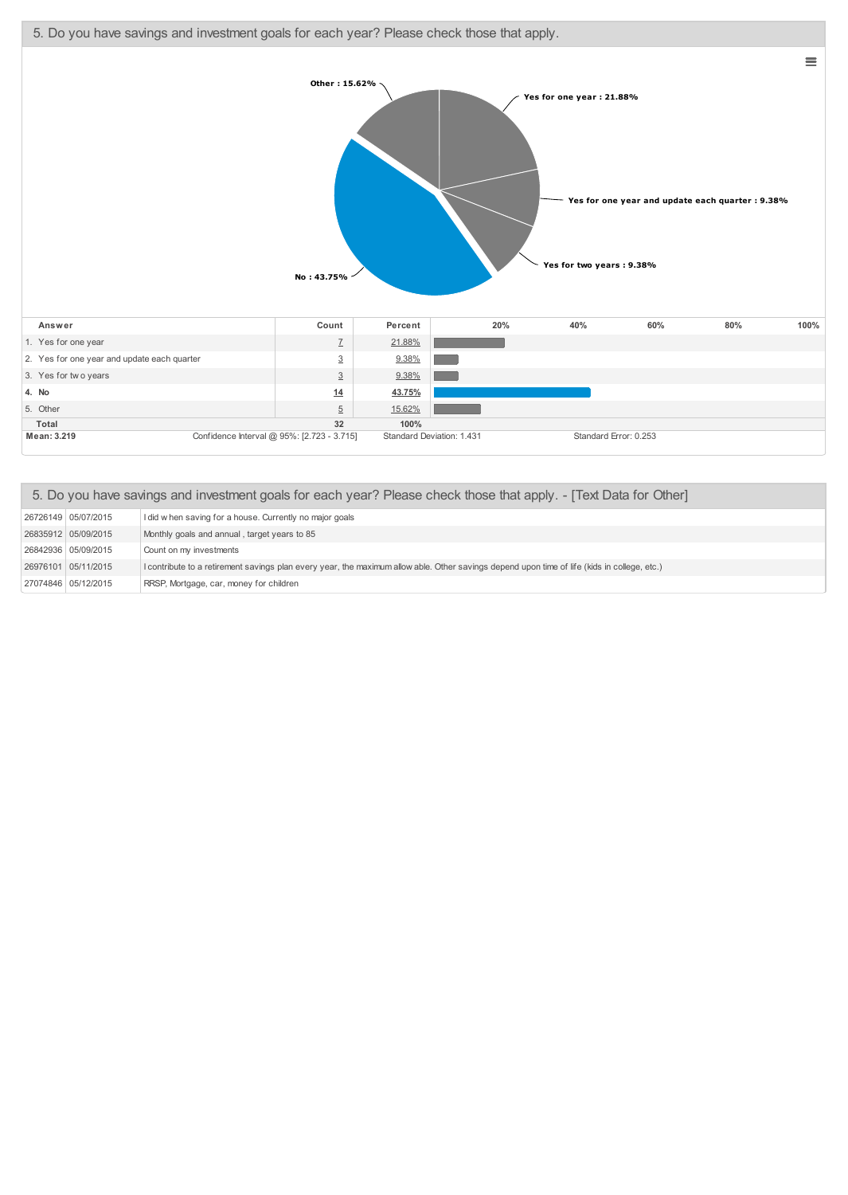5. Do you have savings and investment goals for each year? Please check those that apply.



| 5. Do you have savings and investment goals for each year? Please check those that apply. - [Text Data for Other] |                                                                                                                                              |  |  |  |  |  |  |
|-------------------------------------------------------------------------------------------------------------------|----------------------------------------------------------------------------------------------------------------------------------------------|--|--|--|--|--|--|
| 26726149 05/07/2015                                                                                               | I did w hen saving for a house. Currently no major goals                                                                                     |  |  |  |  |  |  |
| 26835912 05/09/2015                                                                                               | Monthly goals and annual, target years to 85                                                                                                 |  |  |  |  |  |  |
| 26842936 05/09/2015                                                                                               | Count on my investments                                                                                                                      |  |  |  |  |  |  |
| 26976101 05/11/2015                                                                                               | I contribute to a retirement savings plan every year, the maximum allow able. Other savings depend upon time of life (kids in college, etc.) |  |  |  |  |  |  |
| 27074846 05/12/2015                                                                                               | RRSP, Mortgage, car, money for children                                                                                                      |  |  |  |  |  |  |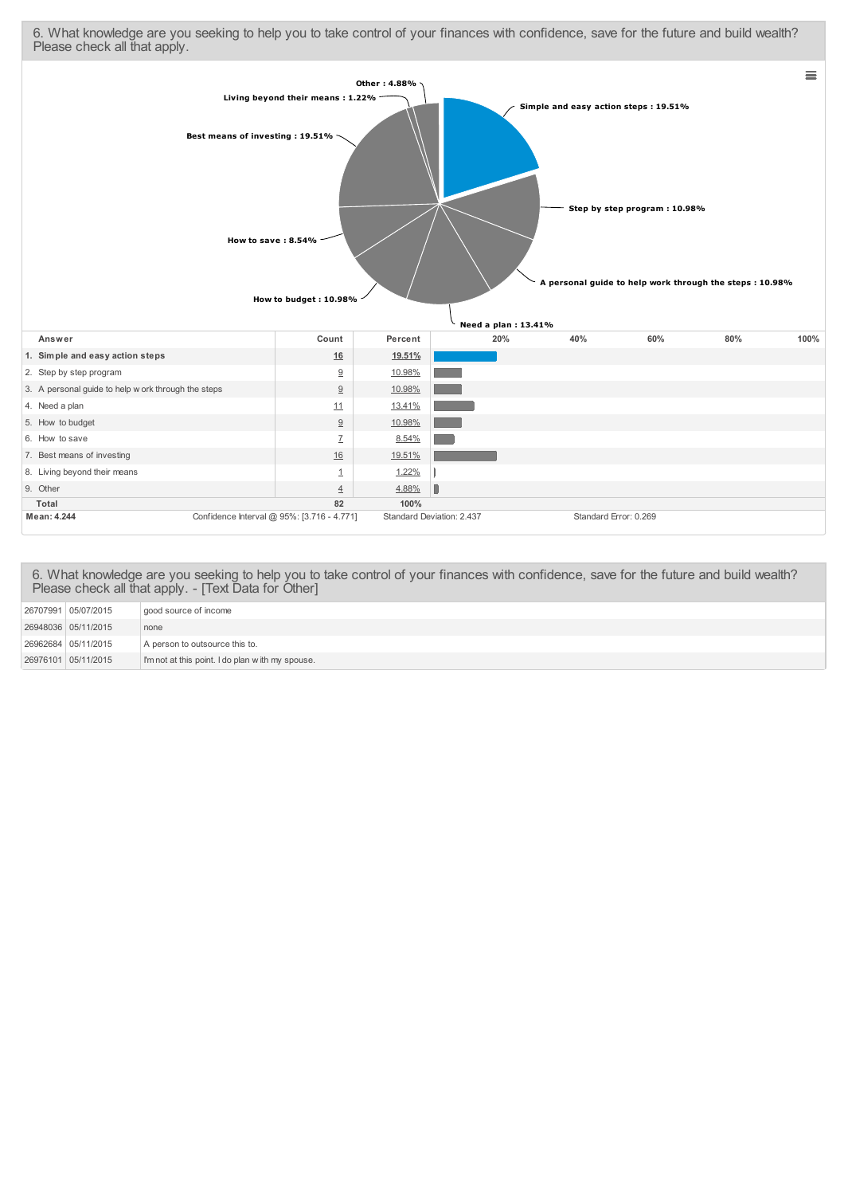6. What knowledge are you seeking to help you to take control of your finances with confidence, save for the future and build wealth? Please check all that apply.



6. What knowledge are you seeking to help you to take control of your finances with confidence, save for the future and build wealth? Please check all that apply. - [Text Data for Other]

| 26707991 05/07/2015 | good source of income                            |
|---------------------|--------------------------------------------------|
| 26948036 05/11/2015 | none                                             |
| 26962684 05/11/2015 | A person to outsource this to.                   |
| 26976101 05/11/2015 | I'm not at this point. I do plan with my spouse. |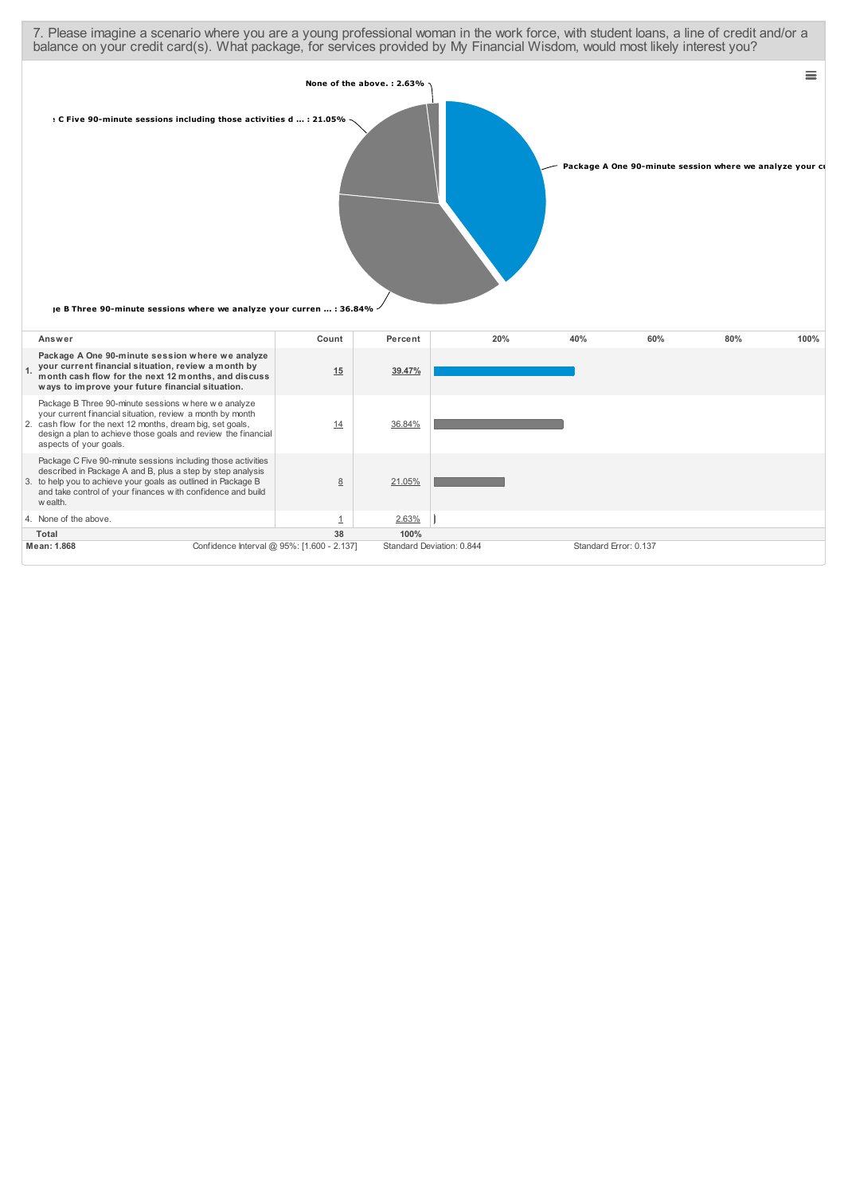| 7. Please imagine a scenario where you are a young professional woman in the work force, with student loans, a line of credit and/or a<br>balance on your credit card(s). What package, for services provided by My Financial Wisdom, would most likely interest you?     |                                            |                |                           |                           |     |                                                          |     |          |
|---------------------------------------------------------------------------------------------------------------------------------------------------------------------------------------------------------------------------------------------------------------------------|--------------------------------------------|----------------|---------------------------|---------------------------|-----|----------------------------------------------------------|-----|----------|
| : C Five 90-minute sessions including those activities d : 21.05%<br>je B Three 90-minute sessions where we analyze your curren  : 36.84%                                                                                                                                 |                                            |                | None of the above.: 2.63% |                           |     | Package A One 90-minute session where we analyze your ci |     | $\equiv$ |
| Answer                                                                                                                                                                                                                                                                    |                                            | Count          | Percent                   | 20%                       | 40% | 60%                                                      | 80% | 100%     |
| Package A One 90-minute session where we analyze<br>your current financial situation, review a month by<br>month cash flow for the next 12 months, and discuss<br>ways to improve your future financial situation.                                                        |                                            | 15             | 39.47%                    |                           |     |                                                          |     |          |
| Package B Three 90-minute sessions where we analyze<br>your current financial situation, review a month by month<br>2. cash flow for the next 12 months, dream big, set goals,<br>design a plan to achieve those goals and review the financial<br>aspects of your goals. |                                            | 14             | 36.84%                    |                           |     |                                                          |     |          |
| Package C Five 90-minute sessions including those activities<br>described in Package A and B, plus a step by step analysis<br>3. to help you to achieve your goals as outlined in Package B<br>and take control of your finances with confidence and build<br>w ealth.    |                                            | 8              | 21.05%                    |                           |     |                                                          |     |          |
| 4. None of the above.                                                                                                                                                                                                                                                     |                                            | $\overline{1}$ | 2.63%                     |                           |     |                                                          |     |          |
| Total                                                                                                                                                                                                                                                                     |                                            | 38             | 100%                      |                           |     |                                                          |     |          |
| Mean: 1.868                                                                                                                                                                                                                                                               | Confidence Interval @ 95%: [1.600 - 2.137] |                |                           | Standard Deviation: 0.844 |     | Standard Error: 0.137                                    |     |          |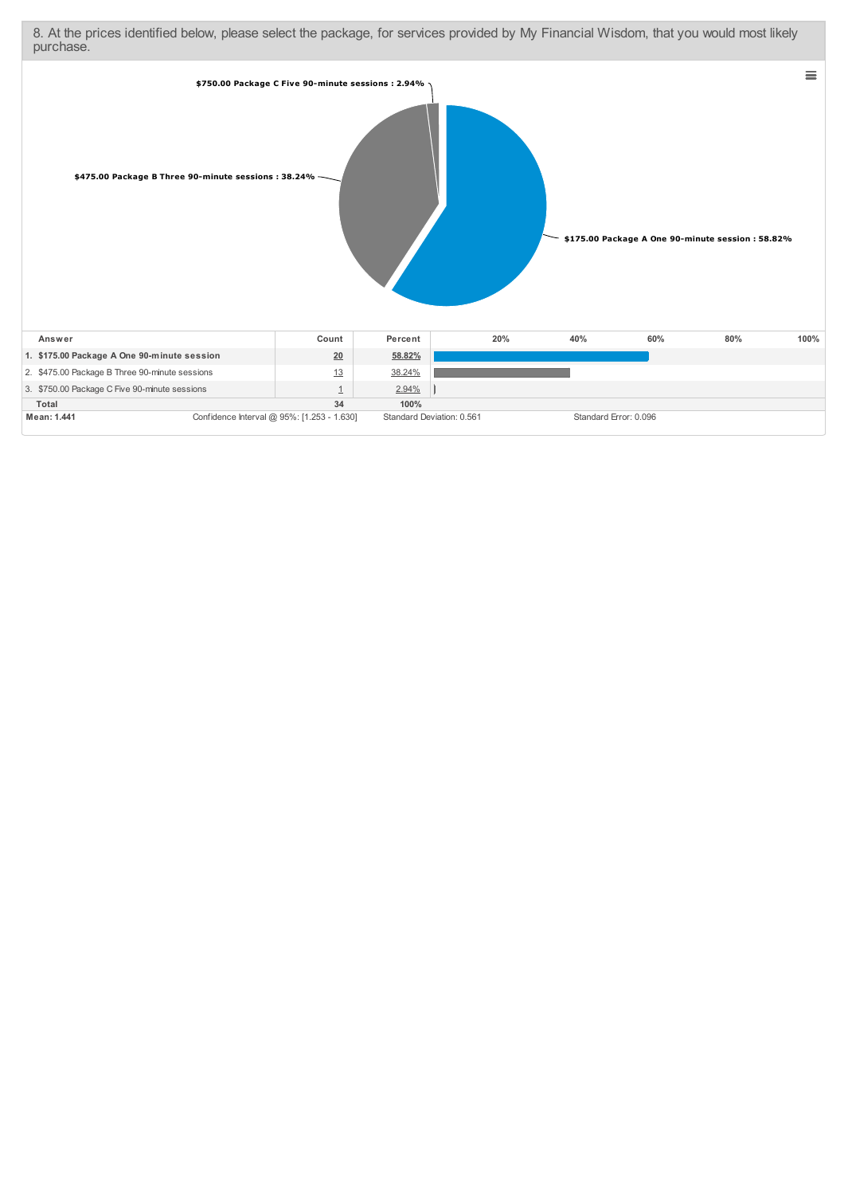8. At the prices identified below, please select the package, for services provided by My Financial Wisdom, that you would most likely purchase.

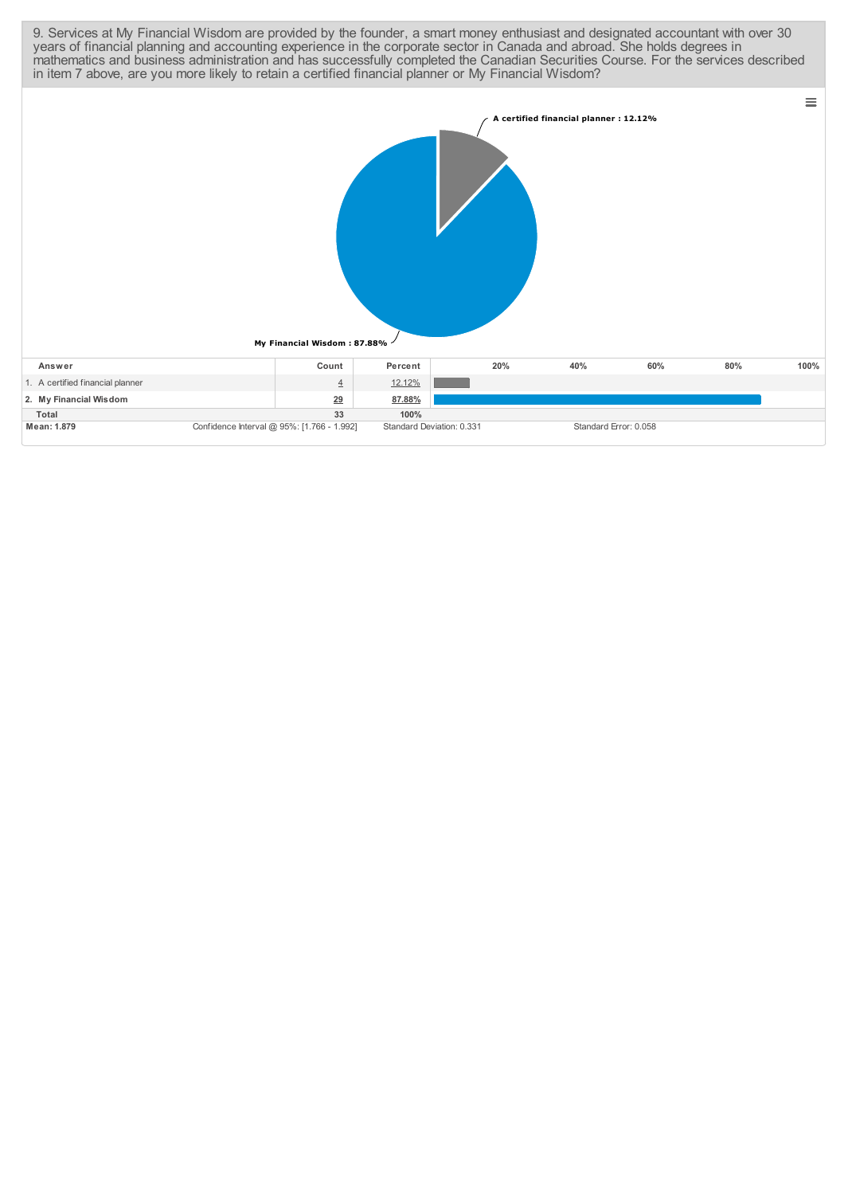| 9. Services at My Financial Wisdom are provided by the founder, a smart money enthusiast and designated accountant with over 30<br>years of financial planning and accounting experience in the corporate sector in Canada and abroad. She holds degrees in<br>mathematics and business administration and has successfully completed the Canadian Securities Course. For the services described<br>in item 7 above, are you more likely to retain a certified financial planner or My Financial Wisdom? |                                            |                           |     |                                       |     |     |          |
|----------------------------------------------------------------------------------------------------------------------------------------------------------------------------------------------------------------------------------------------------------------------------------------------------------------------------------------------------------------------------------------------------------------------------------------------------------------------------------------------------------|--------------------------------------------|---------------------------|-----|---------------------------------------|-----|-----|----------|
|                                                                                                                                                                                                                                                                                                                                                                                                                                                                                                          | My Financial Wisdom: 87.88%                |                           |     | A certified financial planner: 12.12% |     |     | $\equiv$ |
| Answer                                                                                                                                                                                                                                                                                                                                                                                                                                                                                                   | Count                                      | Percent                   | 20% | 40%                                   | 60% | 80% | 100%     |
| 1. A certified financial planner                                                                                                                                                                                                                                                                                                                                                                                                                                                                         | $\overline{4}$                             | 12.12%                    |     |                                       |     |     |          |
| 2. My Financial Wisdom                                                                                                                                                                                                                                                                                                                                                                                                                                                                                   | 29                                         | 87.88%                    |     |                                       |     |     |          |
| <b>Total</b>                                                                                                                                                                                                                                                                                                                                                                                                                                                                                             | 33                                         | 100%                      |     |                                       |     |     |          |
| Mean: 1.879                                                                                                                                                                                                                                                                                                                                                                                                                                                                                              | Confidence Interval @ 95%: [1.766 - 1.992] | Standard Deviation: 0.331 |     | Standard Error: 0.058                 |     |     |          |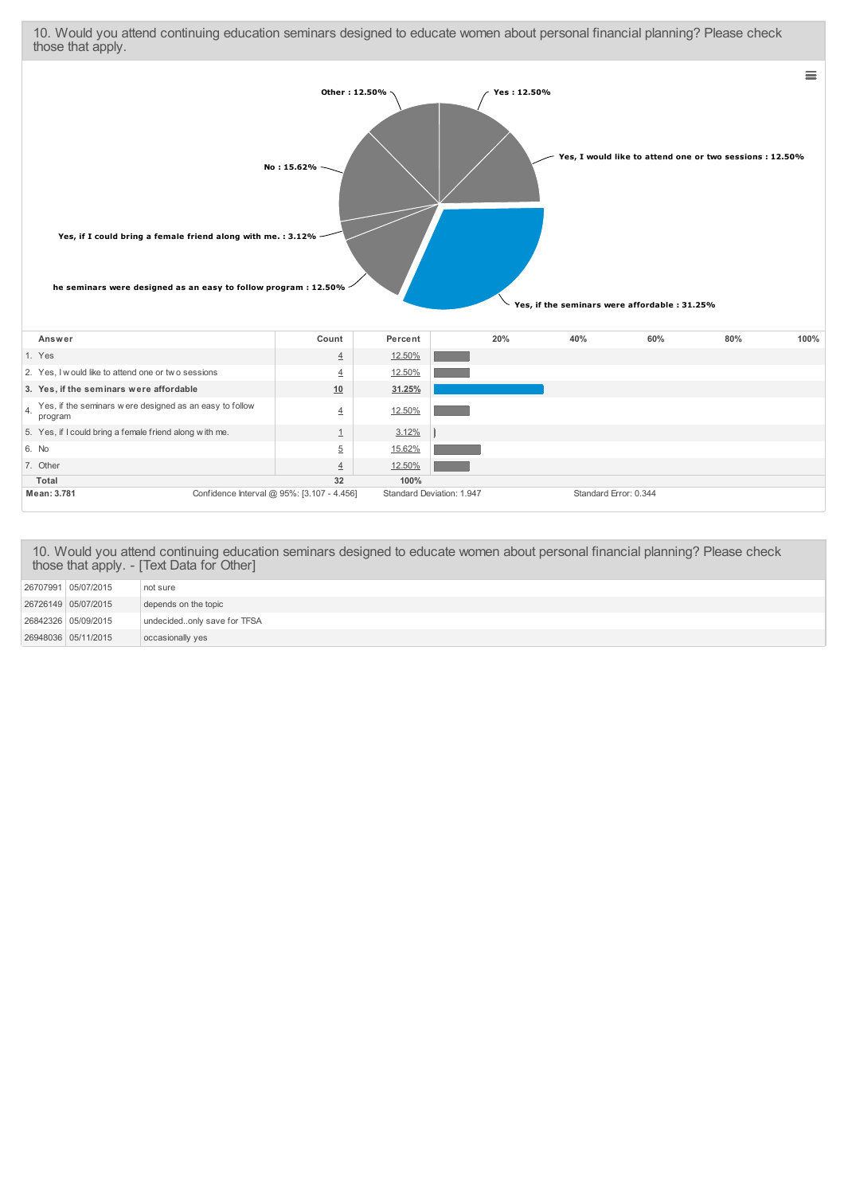10. Would you attend continuing education seminars designed to educate women about personal financial planning? Please check those that apply.  $\equiv$ 



| Mean: 3.781                                                        | Confidence Interval @ 95%: [3.107 - 4.456] |                |               | Standard Deviation: 1.947 | Standard Error: 0.344 |  |
|--------------------------------------------------------------------|--------------------------------------------|----------------|---------------|---------------------------|-----------------------|--|
| Total                                                              |                                            | 32             | 100%          |                           |                       |  |
| 7. Other                                                           |                                            | $\overline{4}$ | 12.50%        |                           |                       |  |
| 6. No                                                              |                                            | 5              | 15.62%        |                           |                       |  |
| 5. Yes, if I could bring a female friend along with me.            |                                            |                | 3.12%         |                           |                       |  |
| Yes, if the seminars were designed as an easy to follow<br>program |                                            | 4              | 12.50%        |                           |                       |  |
| 3. Yes, if the seminars were affordable                            |                                            | 10             | 31.25%        |                           |                       |  |
| 2. Yes, I would like to attend one or two sessions                 |                                            | $\overline{4}$ | 12.50%        |                           |                       |  |
| 1. Yes                                                             |                                            | $\overline{4}$ | <u>12.50%</u> |                           |                       |  |

|  | 10. Would you attend continuing education seminars designed to educate women about personal financial planning? Please check<br>those that apply. - [Text Data for Other] |
|--|---------------------------------------------------------------------------------------------------------------------------------------------------------------------------|
|  |                                                                                                                                                                           |

| 26948036 05/11/2015 | occasionally yes            |
|---------------------|-----------------------------|
| 26842326 05/09/2015 | undecidedonly save for TFSA |
| 26726149 05/07/2015 | depends on the topic        |
| 26707991 05/07/2015 | not sure                    |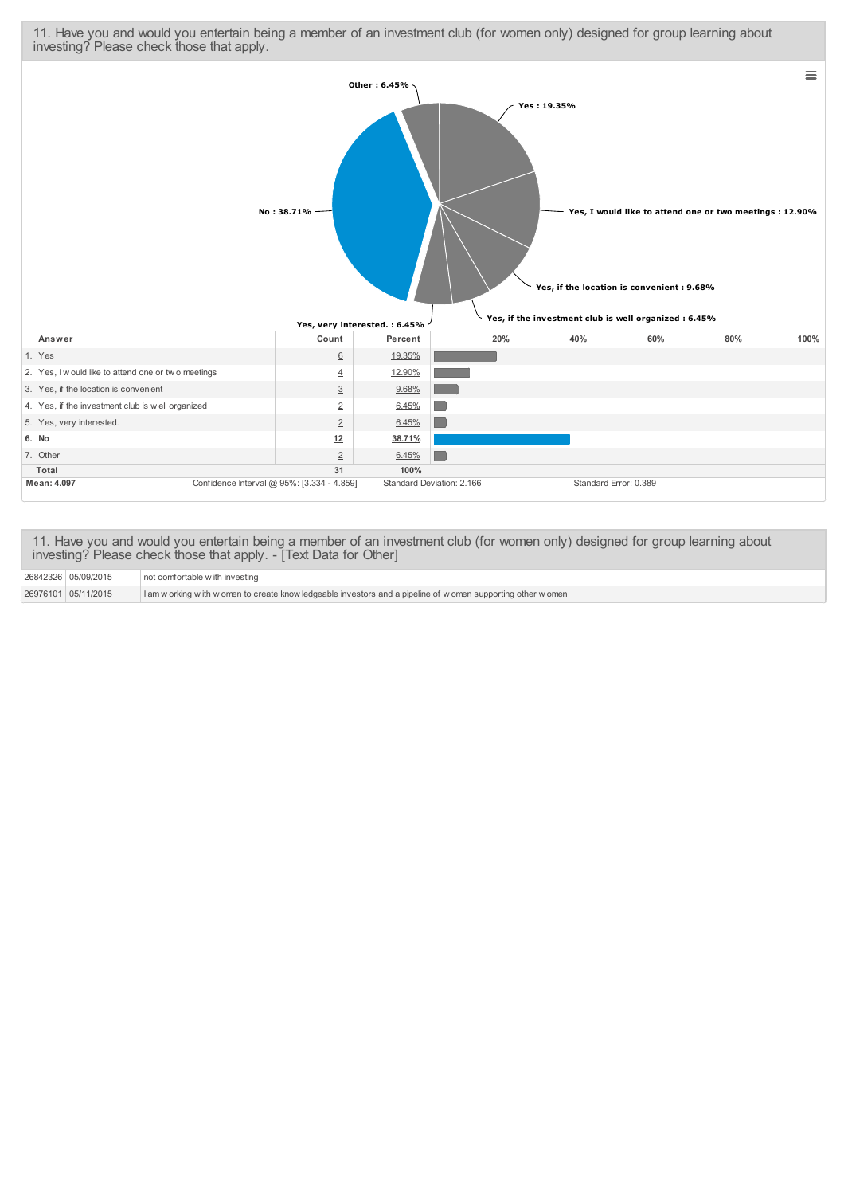11. Have you and would you entertain being a member of an investment club (for women only) designed for group learning about investing? Please check those that apply.



11. Have you and would you entertain being a member of an investment club (for women only) designed for group learning about investing? Please check those that apply. - [Text Data for Other]

<sup>26842326</sup> 05/09/2015 not comfortable w ith investing

<sup>26976101</sup> 05/11/2015 I am w orking w ith w omen to create know ledgeable investors and a pipeline of w omen supporting other w omen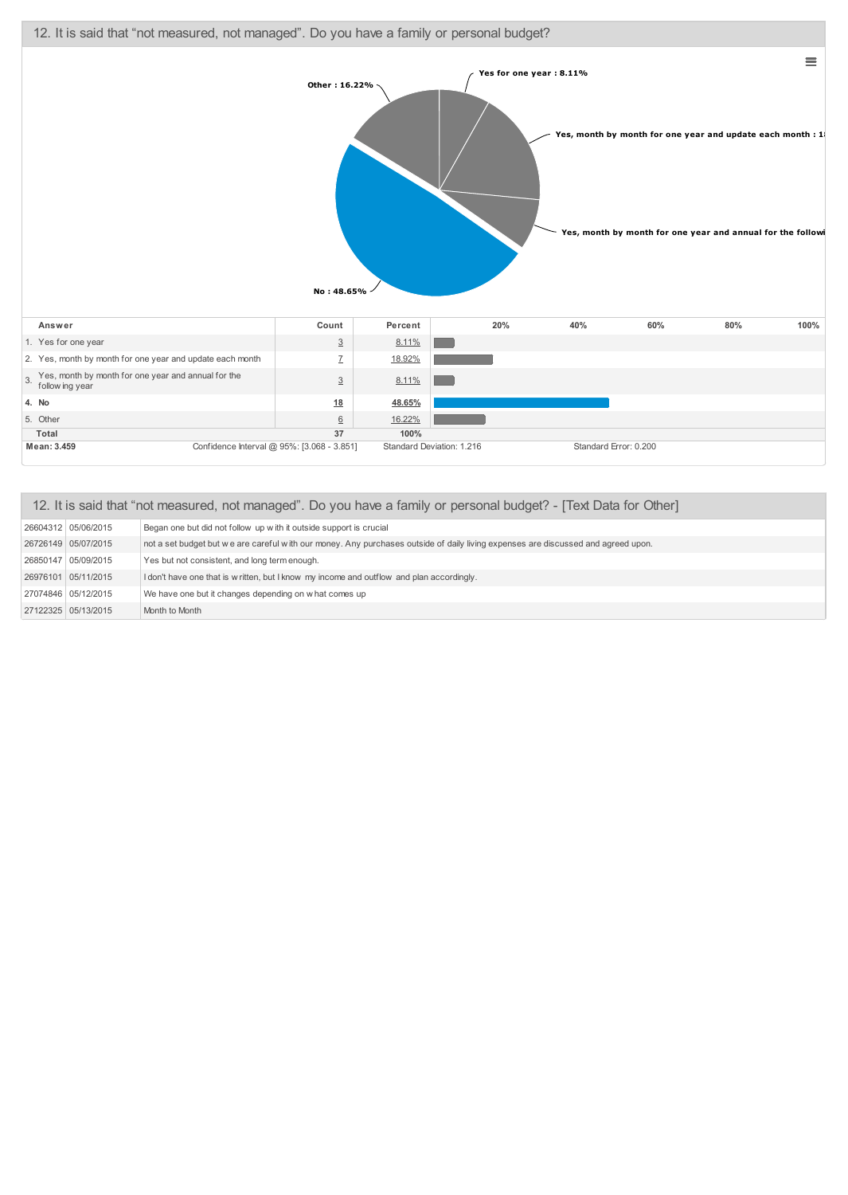

| 12. It is said that "not measured, not managed". Do you have a family or personal budget? - [Text Data for Other] |                                                                                                                                   |  |  |  |  |  |
|-------------------------------------------------------------------------------------------------------------------|-----------------------------------------------------------------------------------------------------------------------------------|--|--|--|--|--|
| 26604312 05/06/2015                                                                                               | Began one but did not follow up with it outside support is crucial                                                                |  |  |  |  |  |
| 26726149 05/07/2015                                                                                               | not a set budget but we are careful with our money. Any purchases outside of daily living expenses are discussed and agreed upon. |  |  |  |  |  |
| 26850147 05/09/2015                                                                                               | Yes but not consistent, and long term enough.                                                                                     |  |  |  |  |  |
| 26976101 05/11/2015                                                                                               | I don't have one that is w ritten, but I know my income and outflow and plan accordingly.                                         |  |  |  |  |  |
| 27074846 05/12/2015                                                                                               | We have one but it changes depending on w hat comes up                                                                            |  |  |  |  |  |
| 27122325 05/13/2015                                                                                               | Month to Month                                                                                                                    |  |  |  |  |  |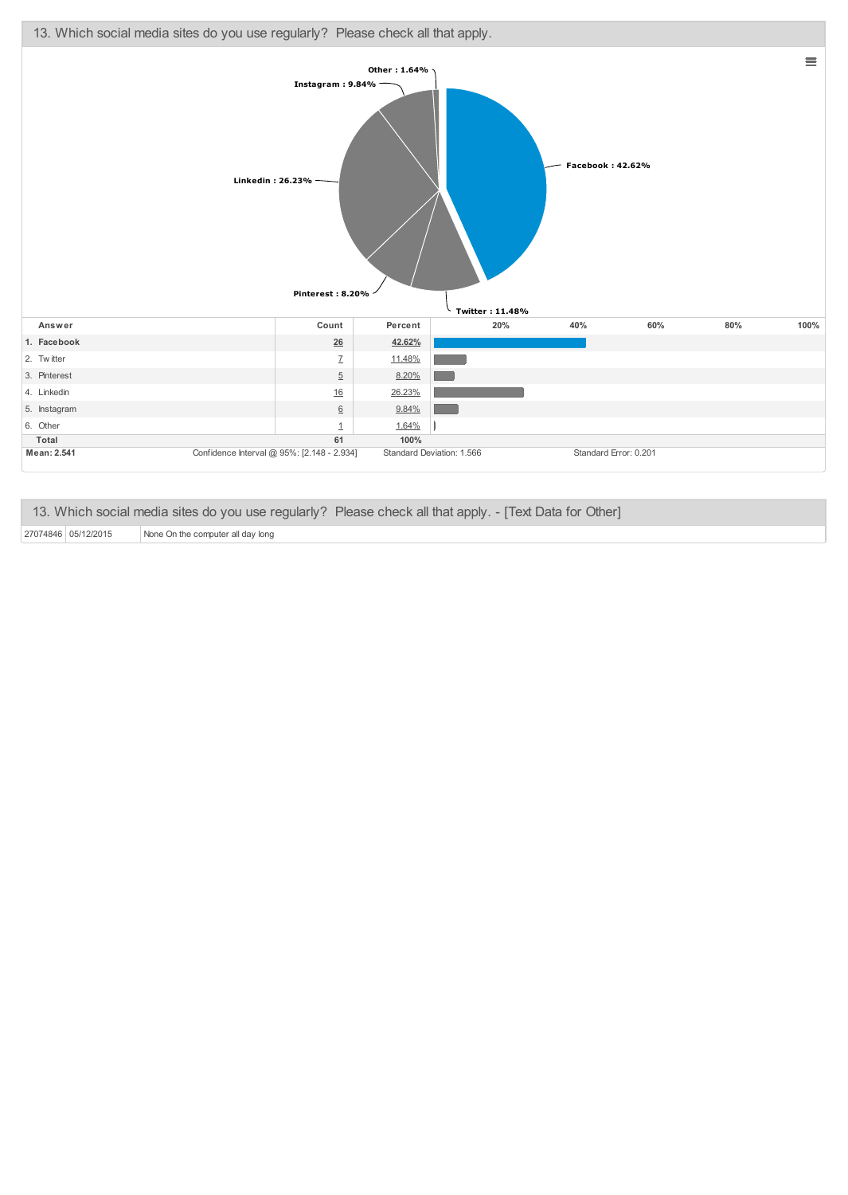

| 13. Which social media sites do you use regularly? Please check all that apply. - [Text Data for Other] |  |
|---------------------------------------------------------------------------------------------------------|--|
|---------------------------------------------------------------------------------------------------------|--|

27074846 05/12/2015 None On the computer all day long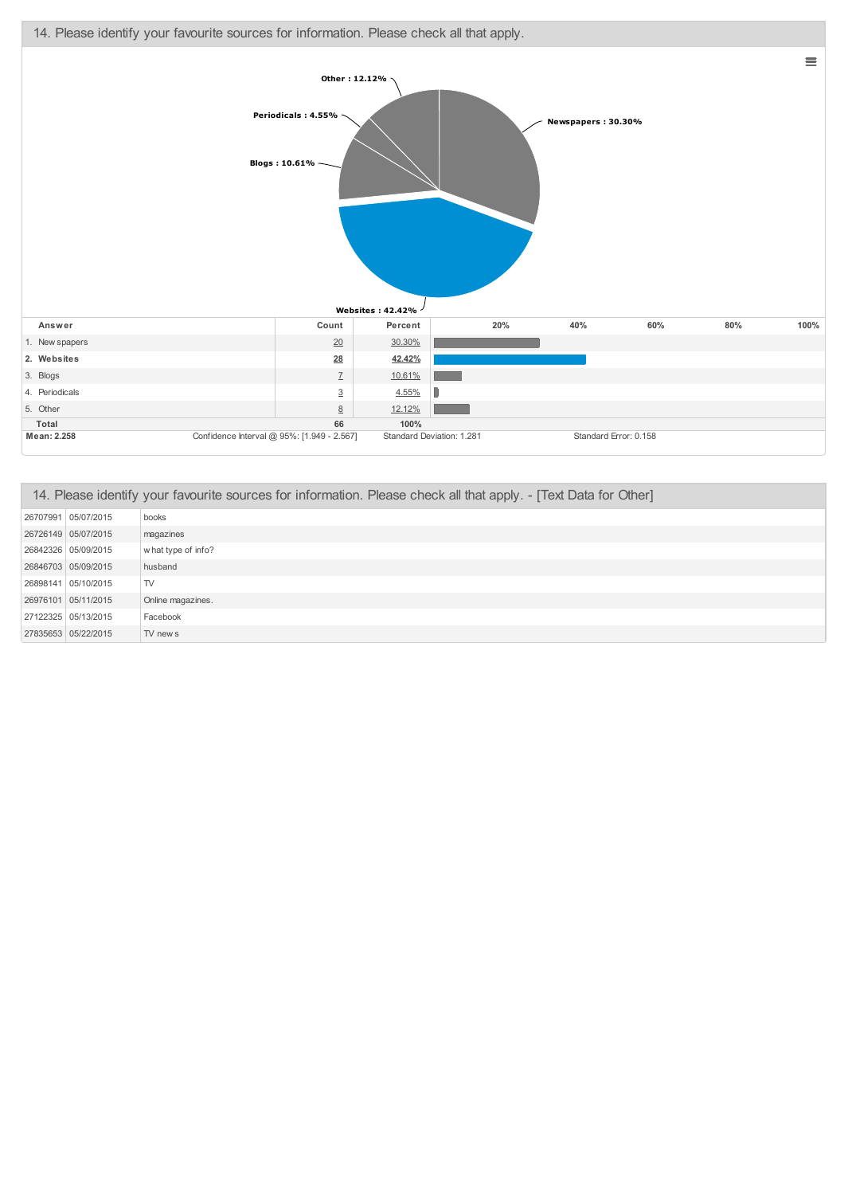

| 14. Please identify your favourite sources for information. Please check all that apply. - [Text Data for Other] |                    |  |
|------------------------------------------------------------------------------------------------------------------|--------------------|--|
| 26707991 05/07/2015                                                                                              | books              |  |
| 26726149 05/07/2015                                                                                              | magazines          |  |
| 26842326 05/09/2015                                                                                              | what type of info? |  |
| 26846703 05/09/2015                                                                                              | husband            |  |
| 26898141 05/10/2015                                                                                              | TV                 |  |
| 26976101 05/11/2015                                                                                              | Online magazines.  |  |
| 27122325 05/13/2015                                                                                              | Facebook           |  |
| 27835653 05/22/2015                                                                                              | TV new s           |  |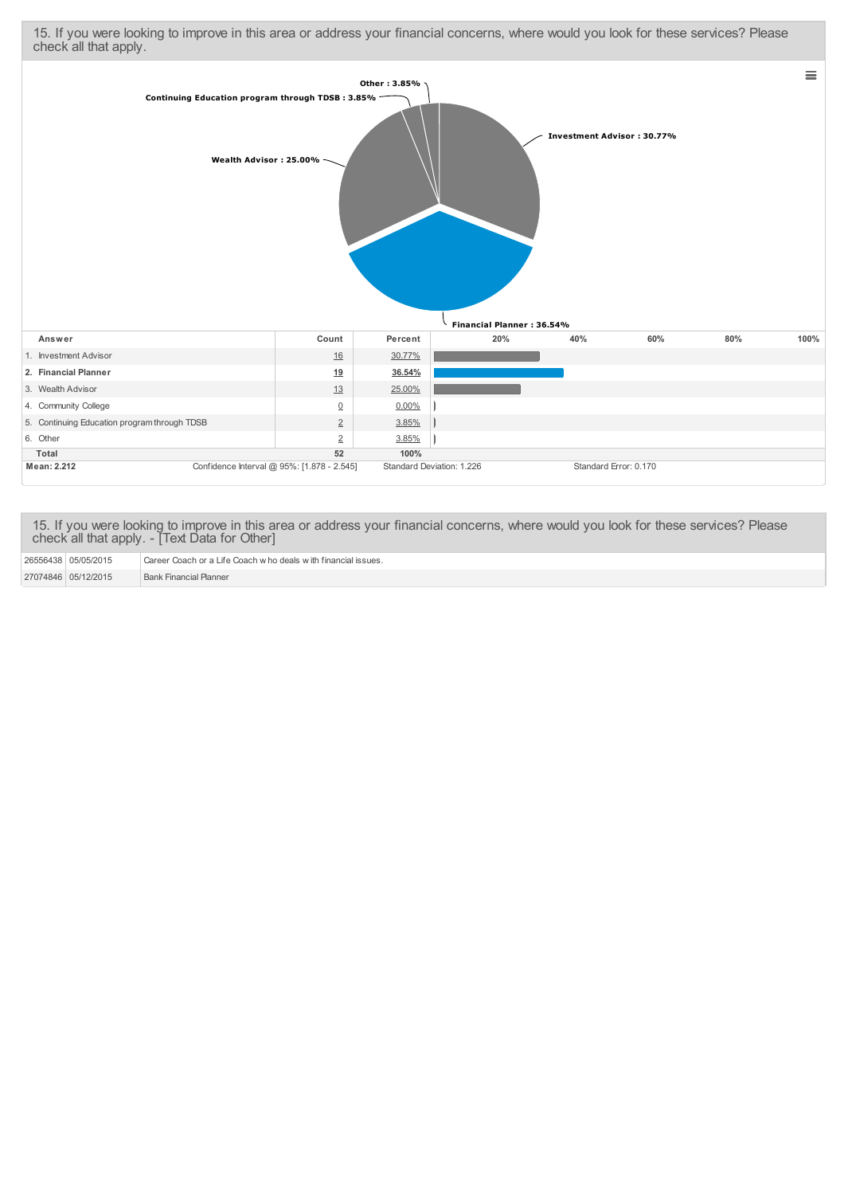15. If you were looking to improve in this area or address your financial concerns, where would you look for these services? Please check all that apply.



15. If you were looking to improve in this area or address your financial concerns, where would you look for these services? Please check all that apply. - [Text Data for Other]

| 26556438 05/05/2015 | Career Coach or a Life Coach who deals with financial issues. |
|---------------------|---------------------------------------------------------------|
| 27074846 05/12/2015 | <b>Bank Financial Planner</b>                                 |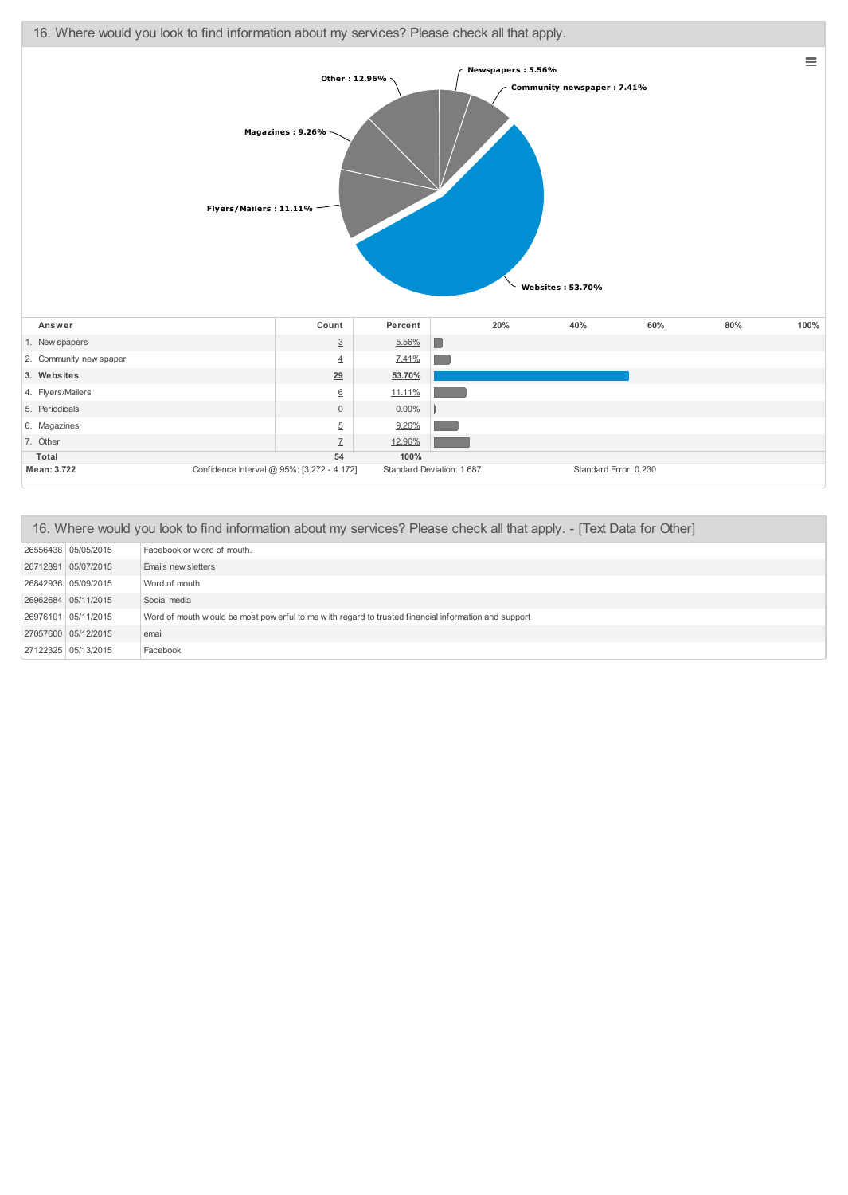16. Where would you look to find information about my services? Please check all that apply.



**Mean: 3.722** Confidence Interval @ 95%: [3.272 - 4.172] Standard Deviation: 1.687 Standard Error: 0.230 **Total 54 100%**

7. Other [7](http://www.questionpro.com/a/showResponseEditor.do?mode=execute&questionID=41091643&answerID=206890974) [12.96%](javascript:Bubble.showTip()

| 16. Where would you look to find information about my services? Please check all that apply. - [Text Data for Other] |                                                                                                       |  |
|----------------------------------------------------------------------------------------------------------------------|-------------------------------------------------------------------------------------------------------|--|
| 26556438 05/05/2015                                                                                                  | Facebook or w ord of mouth.                                                                           |  |
| 26712891 05/07/2015                                                                                                  | Emails new sletters                                                                                   |  |
| 26842936 05/09/2015                                                                                                  | Word of mouth                                                                                         |  |
| 26962684 05/11/2015                                                                                                  | Social media                                                                                          |  |
| 26976101 05/11/2015                                                                                                  | Word of mouth w ould be most pow erful to me with regard to trusted financial information and support |  |
| 27057600 05/12/2015                                                                                                  | email                                                                                                 |  |
| 27122325 05/13/2015                                                                                                  | Facebook                                                                                              |  |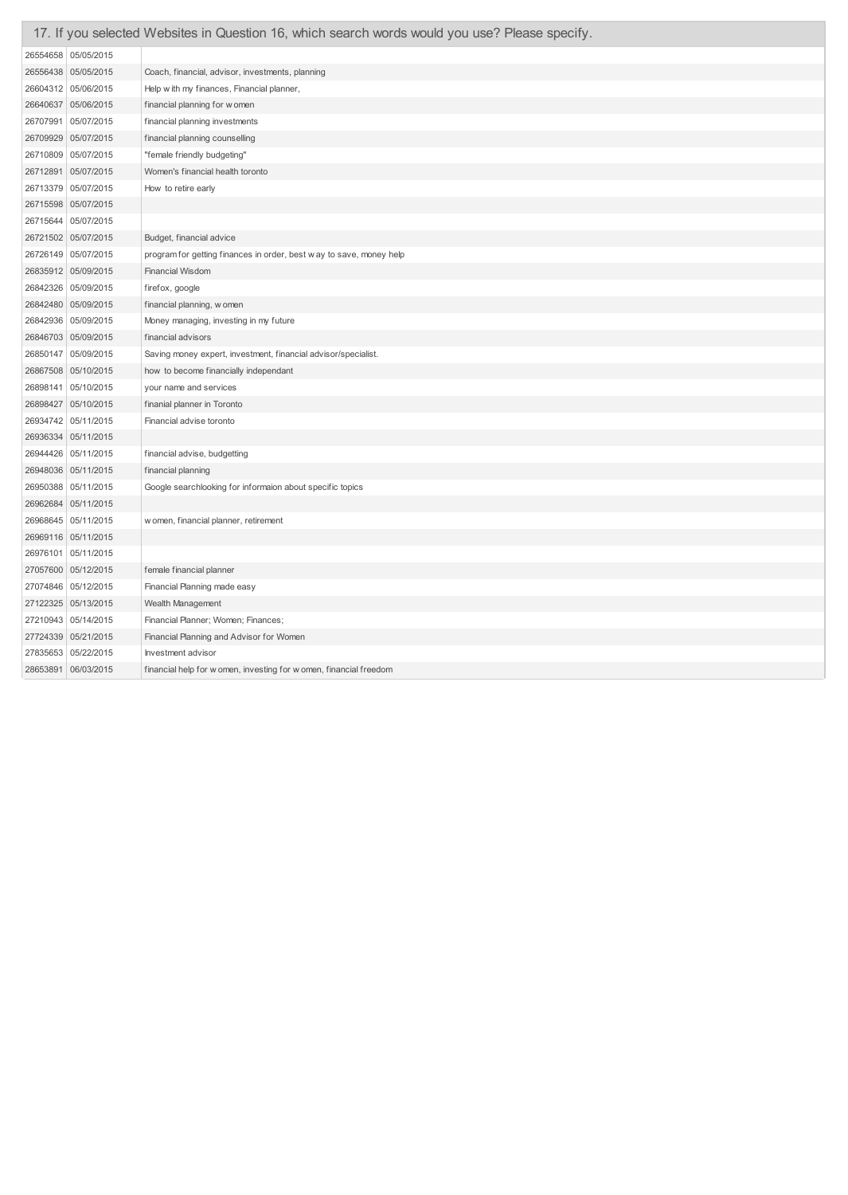|          |                       | 17. If you selected Websites in Question 16, which search words would you use? Please specify. |
|----------|-----------------------|------------------------------------------------------------------------------------------------|
|          | 26554658 05/05/2015   |                                                                                                |
|          | 26556438 05/05/2015   | Coach, financial, advisor, investments, planning                                               |
|          | 26604312 05/06/2015   | Help with my finances, Financial planner,                                                      |
|          | 26640637 05/06/2015   | financial planning for women                                                                   |
| 26707991 | 05/07/2015            | financial planning investments                                                                 |
| 26709929 | 05/07/2015            | financial planning counselling                                                                 |
| 26710809 | 05/07/2015            | "female friendly budgeting"                                                                    |
| 26712891 | 05/07/2015            | Women's financial health toronto                                                               |
|          | 26713379 05/07/2015   | How to retire early                                                                            |
|          | 26715598 05/07/2015   |                                                                                                |
| 26715644 | 05/07/2015            |                                                                                                |
|          | 26721502 05/07/2015   | Budget, financial advice                                                                       |
|          | 26726149 05/07/2015   | program for getting finances in order, best w ay to save, money help                           |
|          | 26835912 05/09/2015   | <b>Financial Wisdom</b>                                                                        |
|          | 26842326 05/09/2015   | firefox, google                                                                                |
|          | 26842480 05/09/2015   | financial planning, w omen                                                                     |
|          | 26842936 05/09/2015   | Money managing, investing in my future                                                         |
|          | 26846703 05/09/2015   | financial advisors                                                                             |
|          | 26850147   05/09/2015 | Saving money expert, investment, financial advisor/specialist.                                 |
|          | 26867508 05/10/2015   | how to become financially independant                                                          |
|          | 26898141 05/10/2015   | your name and services                                                                         |
|          | 26898427 05/10/2015   | finanial planner in Toronto                                                                    |
|          | 26934742 05/11/2015   | Financial advise toronto                                                                       |
|          | 26936334 05/11/2015   |                                                                                                |
|          | 26944426 05/11/2015   | financial advise, budgetting                                                                   |
|          | 26948036 05/11/2015   | financial planning                                                                             |
| 26950388 | 05/11/2015            | Google searchlooking for informaion about specific topics                                      |
|          | 26962684 05/11/2015   |                                                                                                |
|          | 26968645 05/11/2015   | w omen, financial planner, retirement                                                          |
|          | 26969116 05/11/2015   |                                                                                                |
|          | 26976101 05/11/2015   |                                                                                                |
|          | 27057600 05/12/2015   | female financial planner                                                                       |
|          | 27074846 05/12/2015   | Financial Planning made easy                                                                   |
|          | 27122325 05/13/2015   | Wealth Management                                                                              |
|          | 27210943 05/14/2015   | Financial Planner; Women; Finances;                                                            |
|          | 27724339 05/21/2015   | Financial Planning and Advisor for Women                                                       |
|          | 27835653 05/22/2015   | Investment advisor                                                                             |
|          | 28653891 06/03/2015   | financial help for w omen, investing for w omen, financial freedom                             |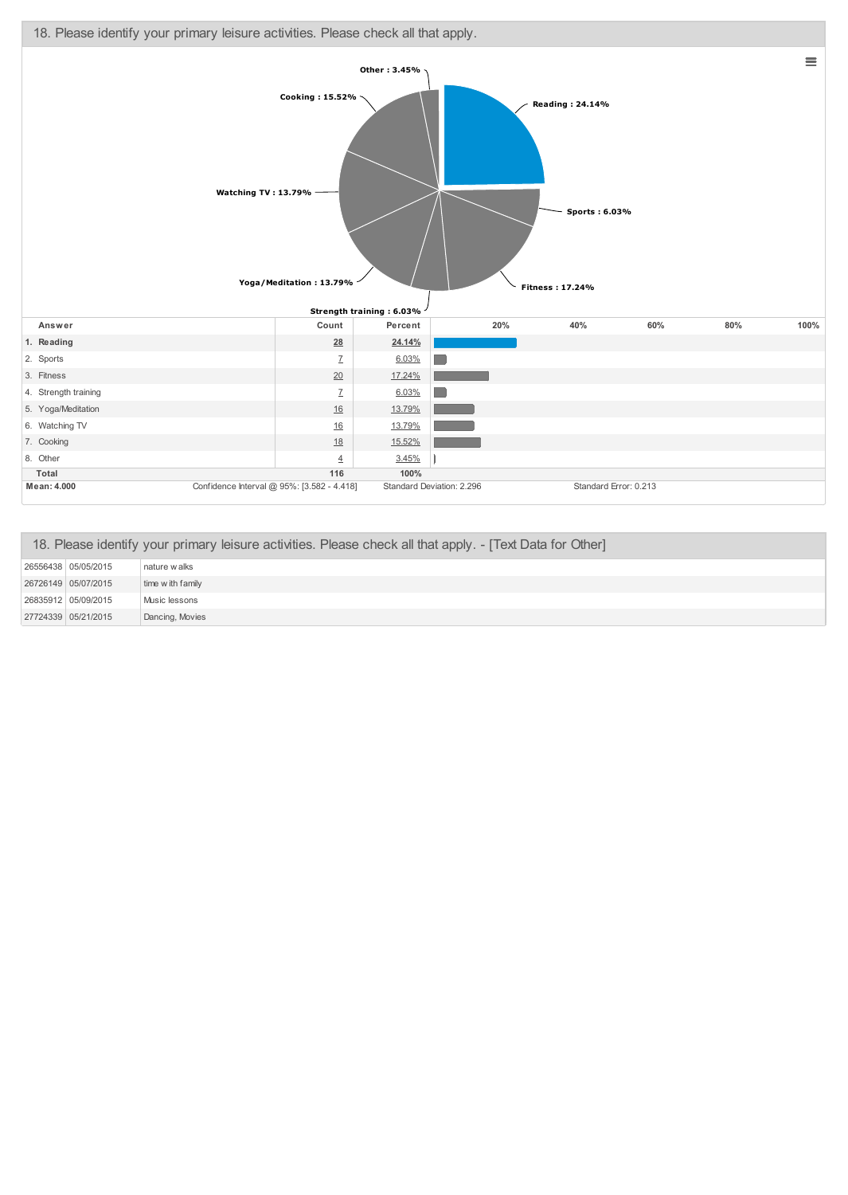

| 18. Please identify your primary leisure activities. Please check all that apply. - [Text Data for Other] |                     |                   |
|-----------------------------------------------------------------------------------------------------------|---------------------|-------------------|
|                                                                                                           | 26556438 05/05/2015 | nature walks      |
|                                                                                                           | 26726149 05/07/2015 | time w ith family |
|                                                                                                           | 26835912 05/09/2015 | Music lessons     |
|                                                                                                           | 27724339 05/21/2015 | Dancing, Movies   |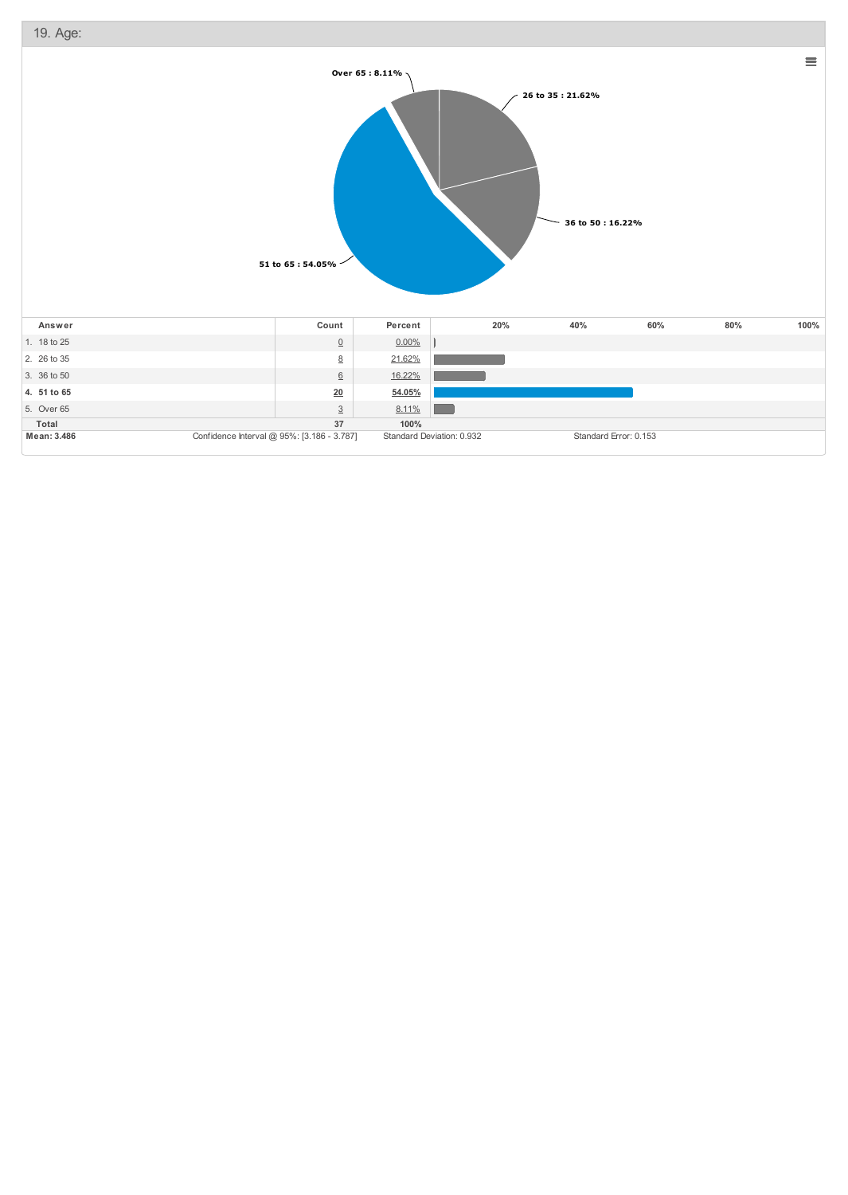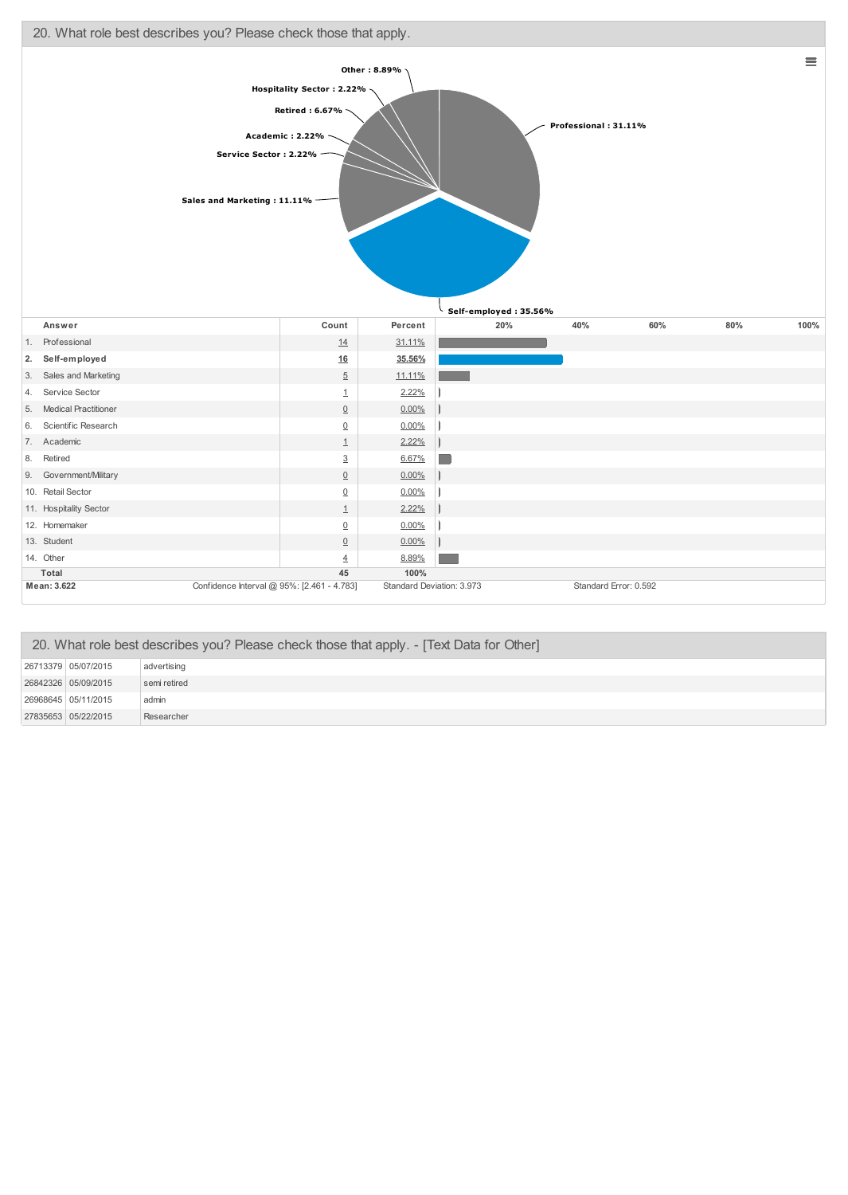

| 20. What role best describes you? Please check those that apply. - [Text Data for Other] |              |  |
|------------------------------------------------------------------------------------------|--------------|--|
| 26713379 05/07/2015                                                                      | advertising  |  |
| 26842326 05/09/2015                                                                      | semi retired |  |
| 26968645 05/11/2015                                                                      | admin        |  |
| 27835653 05/22/2015                                                                      | Researcher   |  |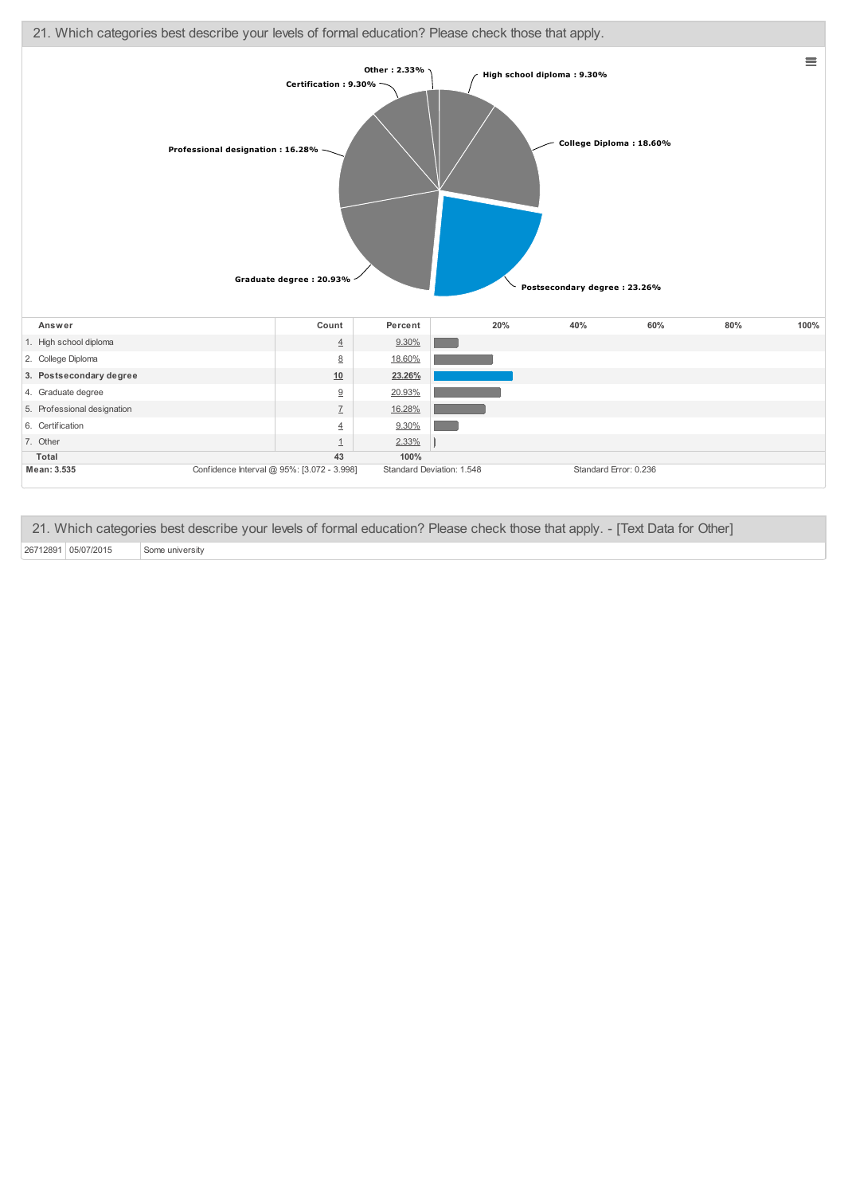

21. Which categories best describe your levels of formal education? Please check those that apply. - [Text Data for Other]

26712891 05/07/2015 Some university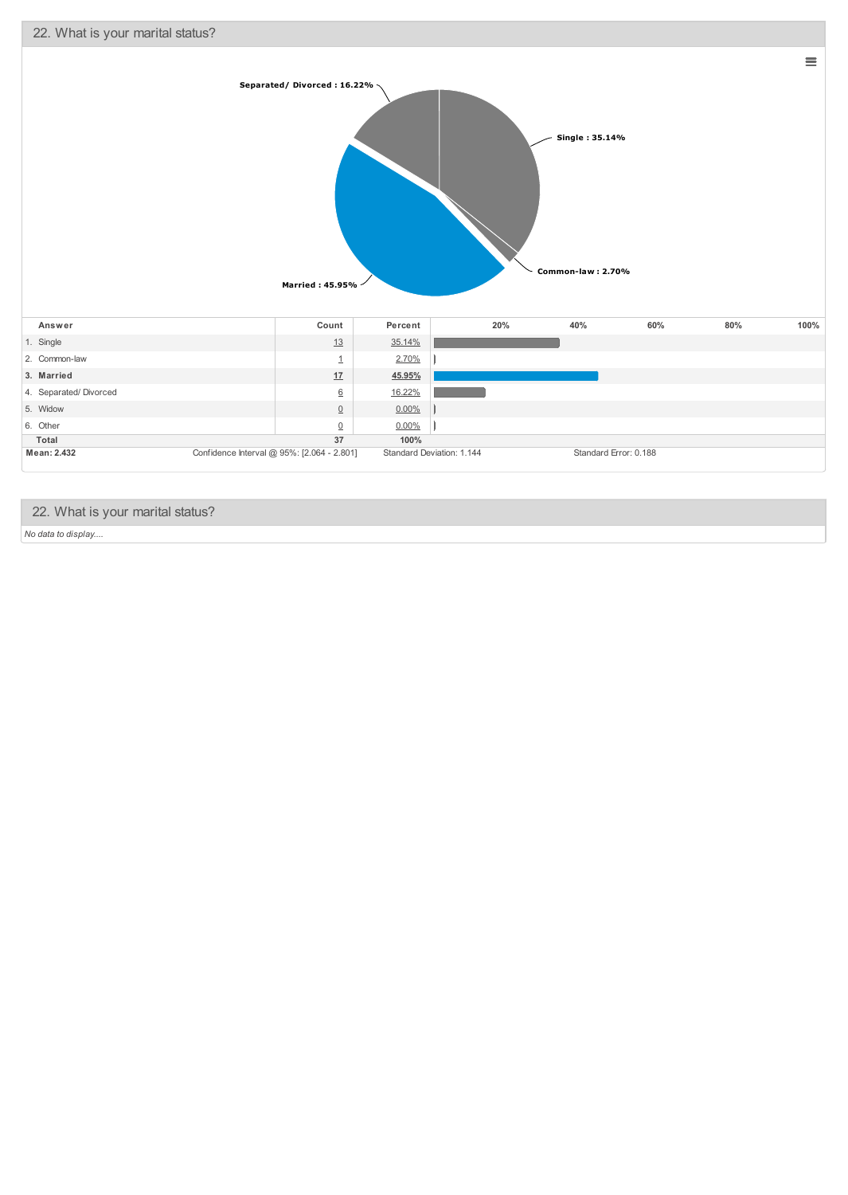

## 22. What is your marital status?

*No data to display....*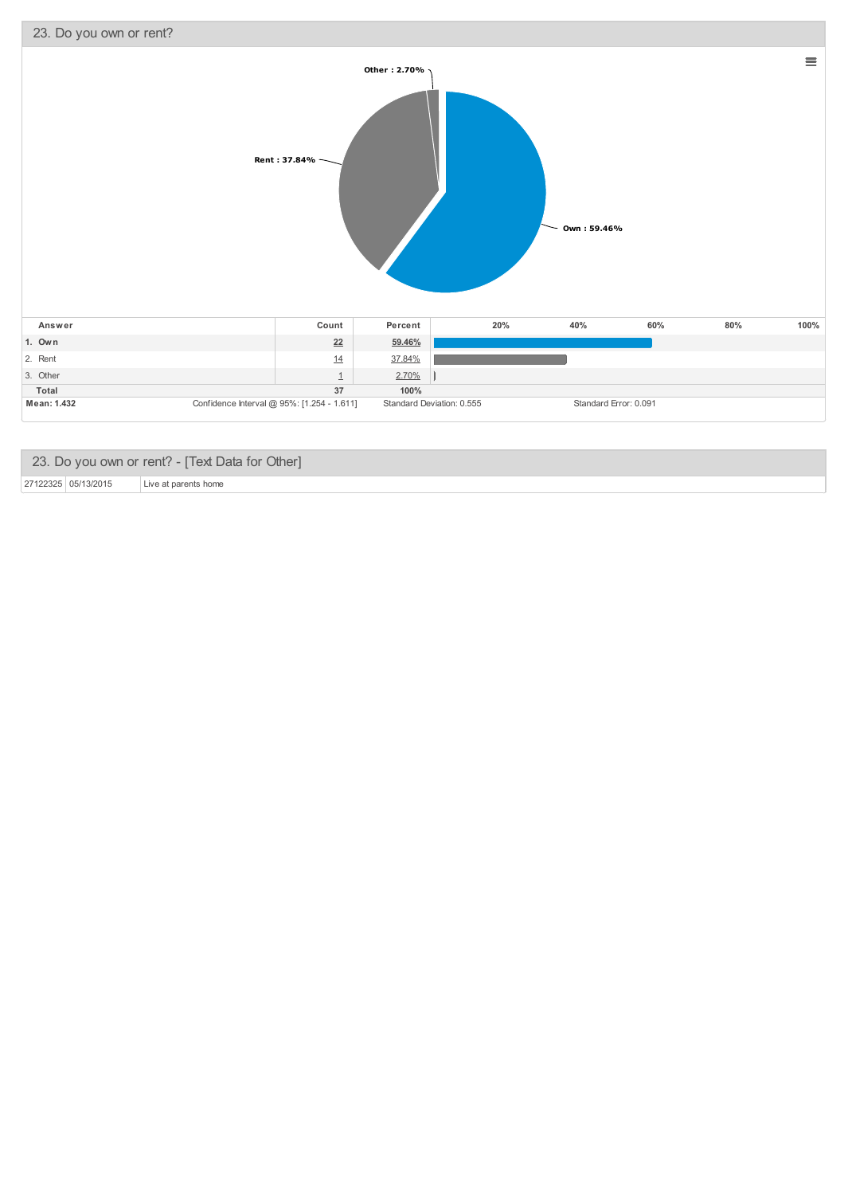

|                     | 23. Do you own or rent? - [Text Data for Other] |
|---------------------|-------------------------------------------------|
| 27122325 05/13/2015 | Live at parents home                            |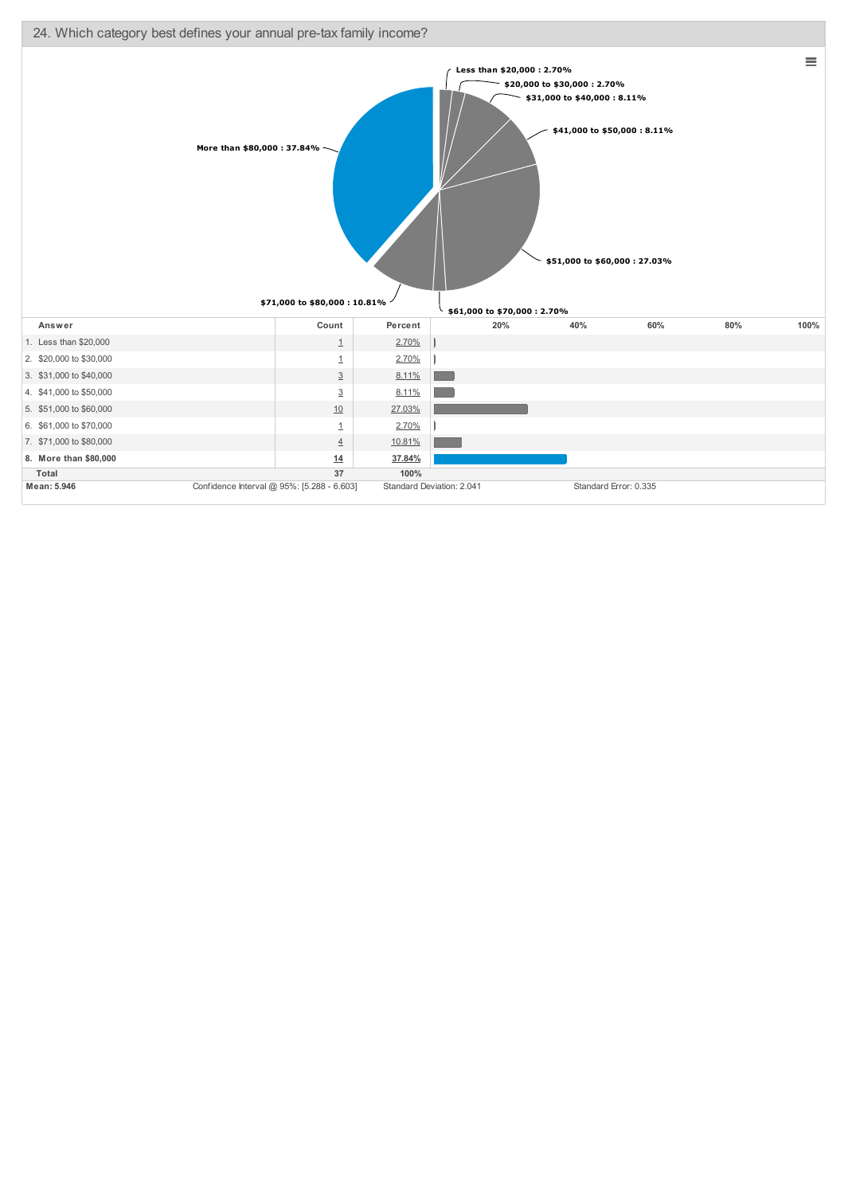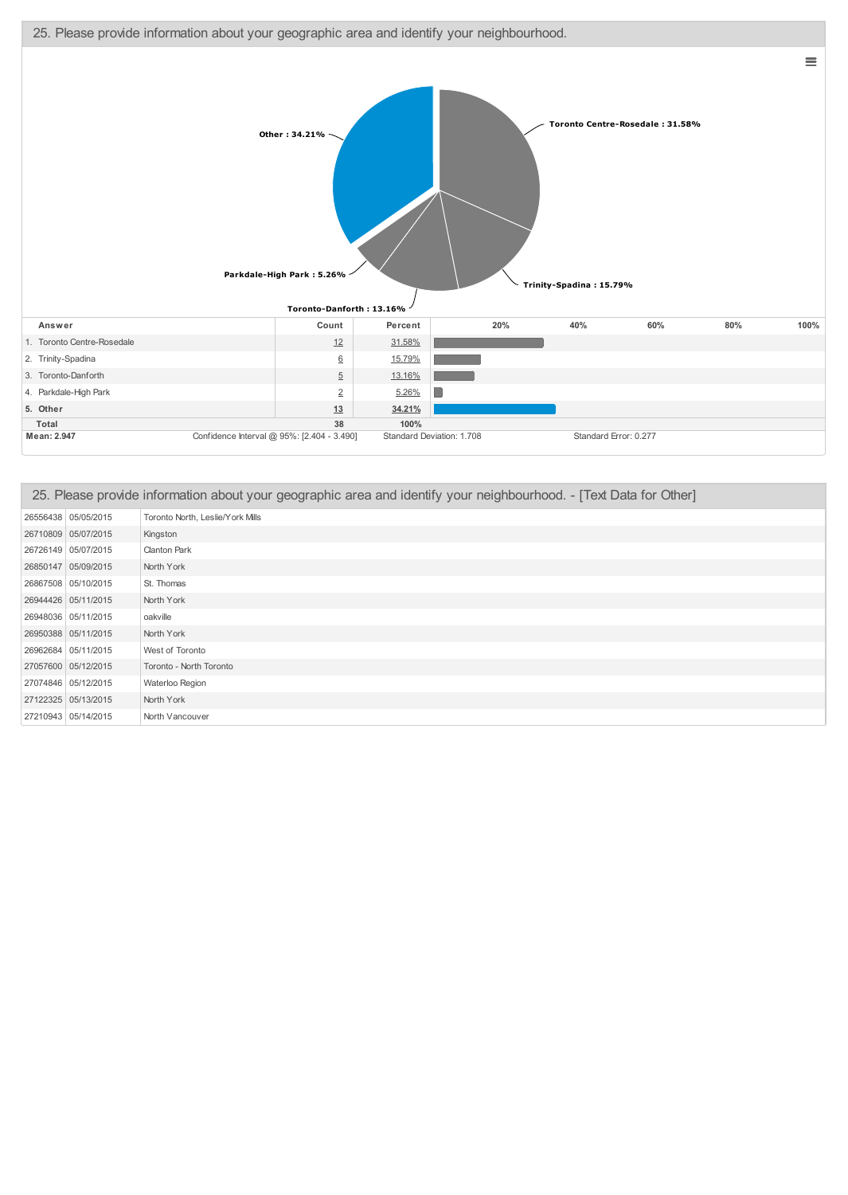



| 25. Please provide information about your geographic area and identify your neighbourhood. - [Text Data for Other] |                                  |  |
|--------------------------------------------------------------------------------------------------------------------|----------------------------------|--|
| 26556438 05/05/2015                                                                                                | Toronto North, Leslie/York Mills |  |
| 26710809 05/07/2015                                                                                                | Kingston                         |  |
| 26726149 05/07/2015                                                                                                | <b>Clanton Park</b>              |  |
| 26850147 05/09/2015                                                                                                | North York                       |  |
| 26867508 05/10/2015                                                                                                | St. Thomas                       |  |
| 26944426 05/11/2015                                                                                                | North York                       |  |
| 26948036 05/11/2015                                                                                                | oakville                         |  |
| 26950388 05/11/2015                                                                                                | North York                       |  |
| 26962684 05/11/2015                                                                                                | West of Toronto                  |  |
| 27057600 05/12/2015                                                                                                | Toronto - North Toronto          |  |
| 27074846 05/12/2015                                                                                                | Waterloo Region                  |  |
| 27122325 05/13/2015                                                                                                | North York                       |  |
| 27210943 05/14/2015                                                                                                | North Vancouver                  |  |

 $\equiv$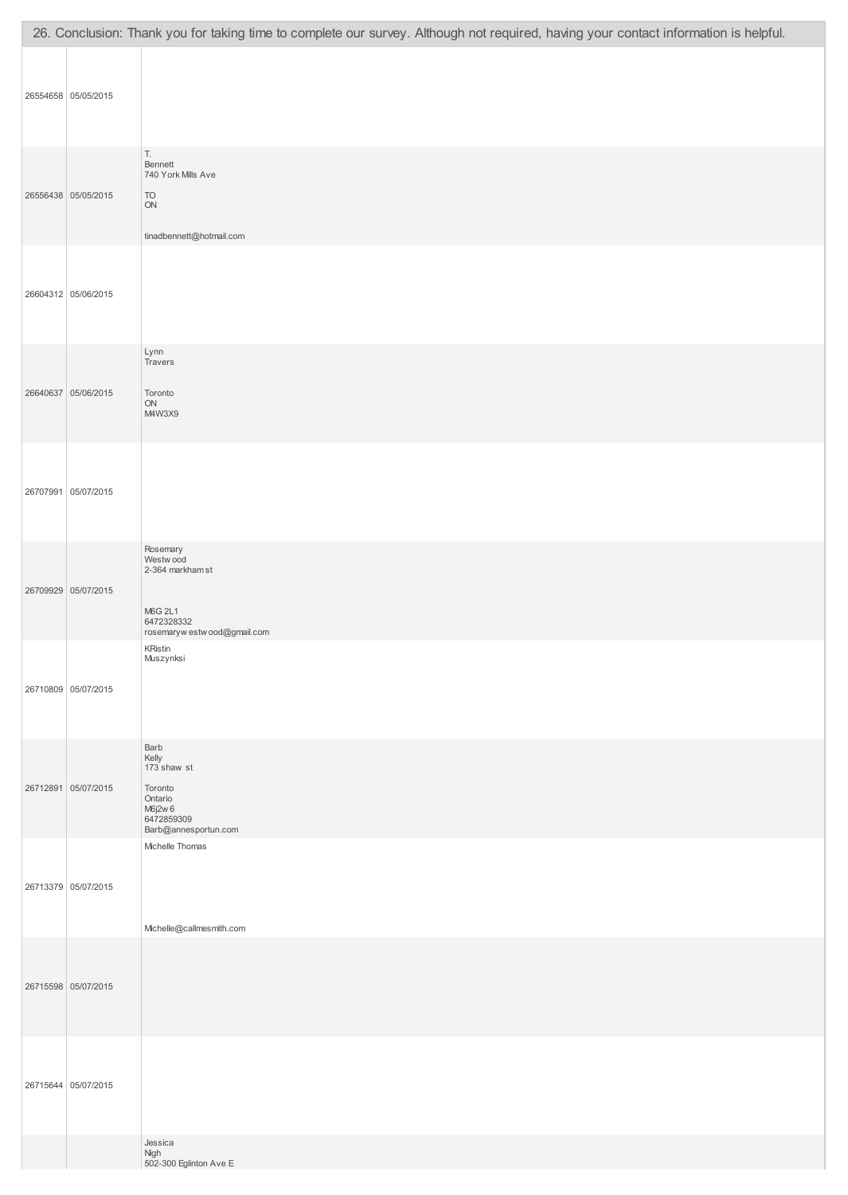|                     | 26. Conclusion: Thank you for taking time to complete our survey. Although not required, having your contact information is helpful. |
|---------------------|--------------------------------------------------------------------------------------------------------------------------------------|
| 26554658 05/05/2015 |                                                                                                                                      |
| 26556438 05/05/2015 | Т.<br>Bennett<br>740 York Mills Ave<br>TO<br>$\mathsf{ON}$<br>tinadbennett@hotmail.com                                               |
| 26604312 05/06/2015 |                                                                                                                                      |
| 26640637 05/06/2015 | Lynn<br>Travers<br>Toronto<br>${\sf ON}$<br>M4W3X9                                                                                   |
| 26707991 05/07/2015 |                                                                                                                                      |
| 26709929 05/07/2015 | Rosemary<br>Westwood<br>2-364 markham st<br>M6G 2L1<br>6472328332<br>rosemaryw estw ood@gmail.com                                    |
| 26710809 05/07/2015 | <b>KRistin</b><br>Muszynksi                                                                                                          |
| 26712891 05/07/2015 | Barb<br>Kelly<br>173 shaw st<br>Toronto<br>Ontario<br>M6j2w 6<br>6472859309<br>Barb@annesportun.com                                  |
| 26713379 05/07/2015 | Michelle Thomas<br>Michelle@callmesmith.com                                                                                          |
| 26715598 05/07/2015 |                                                                                                                                      |
| 26715644 05/07/2015 |                                                                                                                                      |
|                     | Jessica<br>Nigh<br>502-300 Eglinton Ave E                                                                                            |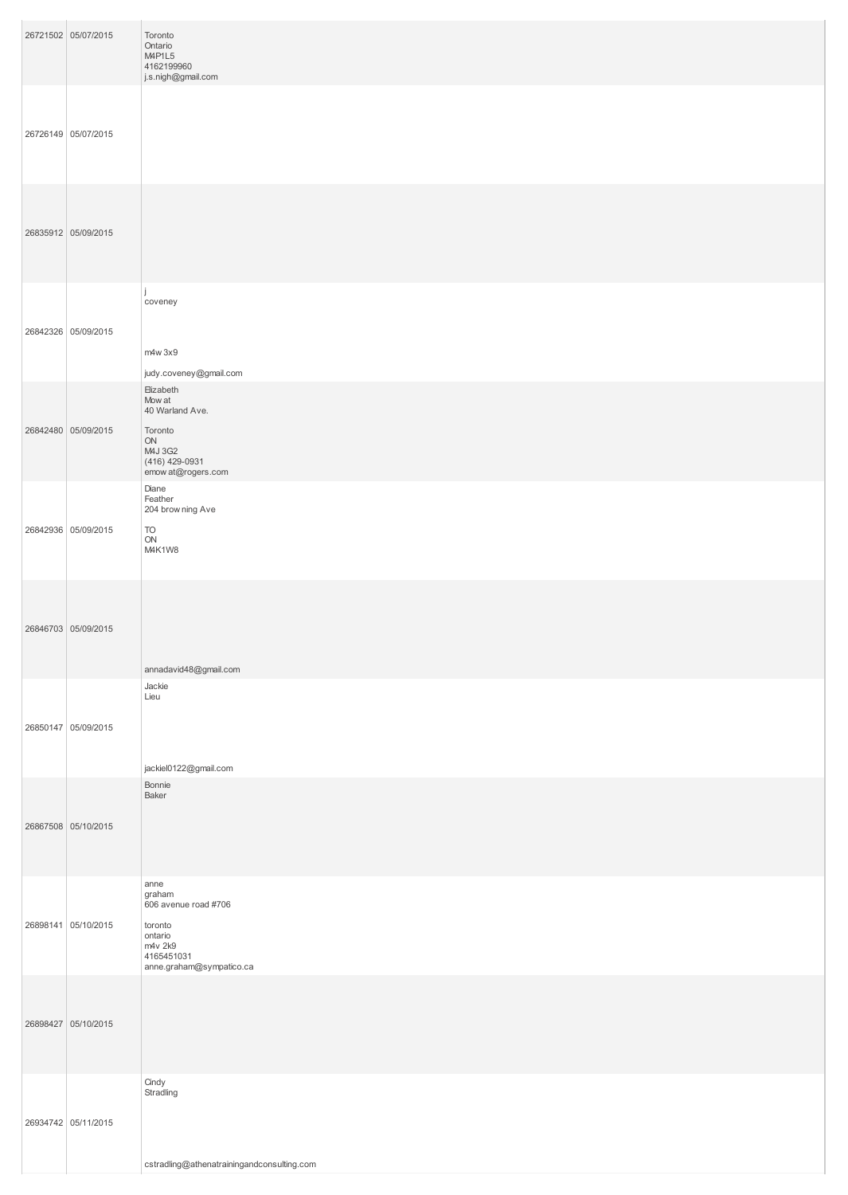| 26721502 05/07/2015 | Toronto<br>Ontario<br>M4P1L5<br>4162199960<br>j.s.nigh@gmail.com                                                  |
|---------------------|-------------------------------------------------------------------------------------------------------------------|
| 26726149 05/07/2015 |                                                                                                                   |
| 26835912 05/09/2015 |                                                                                                                   |
| 26842326 05/09/2015 | coveney<br>m4w 3x9<br>judy.coveney@gmail.com                                                                      |
| 26842480 05/09/2015 | Elizabeth<br>Mow at<br>40 Warland Ave.<br>Toronto<br>ON<br>M4J 3G2<br>(416) 429-0931<br>emow at@rogers.com        |
| 26842936 05/09/2015 | Diane<br>Feather<br>204 brow ning Ave<br>TO<br>ON<br>M4K1W8                                                       |
| 26846703 05/09/2015 | annadavid48@gmail.com                                                                                             |
| 26850147 05/09/2015 | Jackie<br>Lieu<br>jackiel0122@gmail.com                                                                           |
| 26867508 05/10/2015 | Bonnie<br>Baker                                                                                                   |
| 26898141 05/10/2015 | anne<br>graham<br>606 avenue road #706<br>toronto<br>ontario<br>m4v 2k9<br>4165451031<br>anne.graham@sympatico.ca |
| 26898427 05/10/2015 |                                                                                                                   |
| 26934742 05/11/2015 | Cindy<br>Stradling<br>cstradling@athenatrainingandconsulting.com                                                  |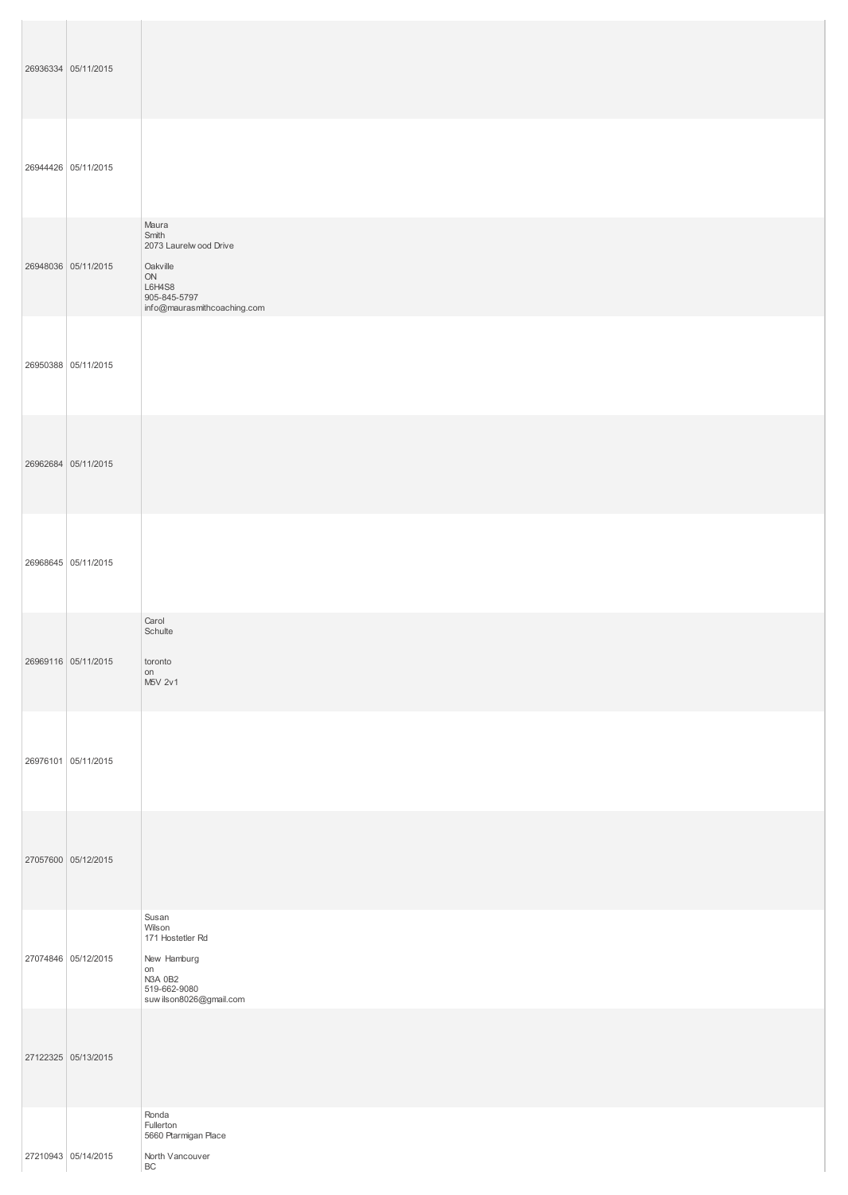| 26936334 05/11/2015 |                                                                                                                     |
|---------------------|---------------------------------------------------------------------------------------------------------------------|
| 26944426 05/11/2015 |                                                                                                                     |
| 26948036 05/11/2015 | Maura<br>Smith<br>2073 Laurelw ood Drive<br>Oakville<br>ON<br>L6H4S8<br>905-845-5797<br>info@maurasmithcoaching.com |
| 26950388 05/11/2015 |                                                                                                                     |
| 26962684 05/11/2015 |                                                                                                                     |
| 26968645 05/11/2015 |                                                                                                                     |
| 26969116 05/11/2015 | Carol<br>Schulte<br>toronto<br>on<br>M5V 2v1                                                                        |
| 26976101 05/11/2015 |                                                                                                                     |
| 27057600 05/12/2015 |                                                                                                                     |
| 27074846 05/12/2015 | Susan<br>Wilson<br>171 Hostetler Rd<br>New Hamburg<br>on<br>N3A 0B2<br>519-662-9080<br>suw ilson8026@gmail.com      |
| 27122325 05/13/2015 |                                                                                                                     |
| 27210943 05/14/2015 | Ronda<br>Fullerton<br>5660 Ptarmigan Place<br>North Vancouver<br>$\mathsf{B}\mathsf{C}$                             |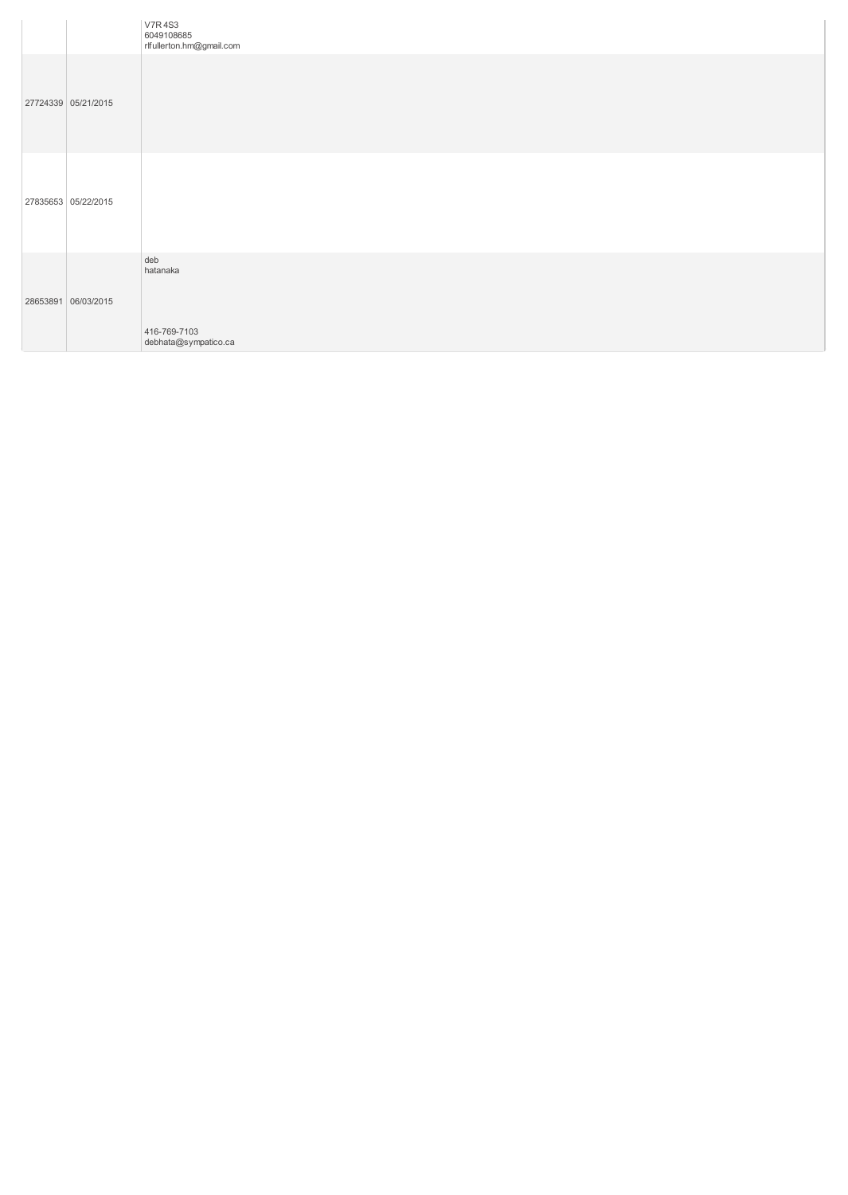|                     | <b>V7R4S3</b><br>6049108685<br>rlfullerton.hm@gmail.com |
|---------------------|---------------------------------------------------------|
| 27724339 05/21/2015 |                                                         |
| 27835653 05/22/2015 |                                                         |
| 28653891 06/03/2015 | deb<br>hatanaka<br>416-769-7103<br>debhata@sympatico.ca |